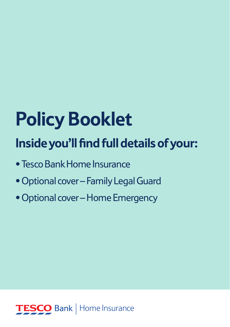# **Policy Booklet**

## **Inside you'll find full details of your:**

- Tesco Bank Home Insurance
- Optional cover Family Legal Guard
- Optional cover Home Emergency

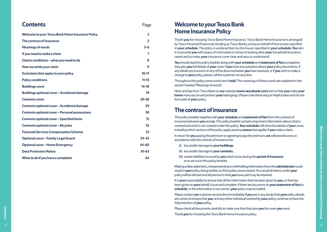| <b>Contents</b>                                       | Page           |
|-------------------------------------------------------|----------------|
| Welcome to your Tesco Bank Home Insurance Policy      | $\overline{2}$ |
| The contract of insurance                             | $\overline{2}$ |
| <b>Meanings of words</b>                              | $3-6$          |
| If you need to make a claim                           | 7              |
| Claims conditions - what you need to do               | 8              |
| How we settle your claim                              | 9              |
| Exclusions that apply to your policy                  | $10 - 11$      |
| <b>Policy conditions</b>                              | $11 - 13$      |
| <b>Buildings cover</b>                                | $14 - 18$      |
| Buildings optional cover - Accidental damage          | 19             |
| <b>Contents cover</b>                                 | $20 - 28$      |
| Contents optional cover - Accidental damage           | 29             |
| <b>Contents optional cover - Personal possessions</b> | 30             |
| Contents optional cover - Specified items             | 31             |
| <b>Contents optional cover - Bicycles</b>             | 32             |
| <b>Financial Services Compensation Scheme</b>         | 33             |
| <b>Optional cover - Family Legal Guard</b>            | 34-43          |

**Optional cover – Home Emergency 44-60 Data Protection Notice 61-63 What to do if you have a complaint 64**

### **Welcome to your Tesco Bank Home Insurance Policy**

Thank **you** for choosing Tesco Bank Home Insurance. Tesco Bank Home Insurance is arranged by Tesco Personal Finance plc (trading as Tesco Bank), acting on behalf of the insurer specified in **your schedule**. The policy is underwritten by the insurer specified in **your schedule**. **Our** aim is to provide **you** with peace of mind when it comes to looking after **your** household insurance needs and to make **your** insurance cover clear and easy to understand.

**You** should read this policy booklet along with **your schedule** and **statement of fact** as together they give **you** full details of **your** cover. If **you** have any questions about **your** policy documents, if any details are incorrect on any of the documentation **you** have received, or if **you** wish to make a change to **your** policy, please call the customer services line **.**

Throughout this policy some words are in **bold**. The meanings of these words are explained in the section headed 'Meanings of words'.

Hints and tips from Tesco Bank on **our** website (**www.tescobank.com**) aim to help **you** make **your home** more secure and protect **your** belongings. Please note these are just helpful ideas and do not form part of **your** policy.

## **The contract of insurance**

This policy booklet together with **your schedule** and **statement of fact** form the contract of insurance between **you** and **us**. This policy booklet contains important information about what is covered and what is not covered under this policy. **Your schedule** will show the details of **your** cover, including which sections of the policy apply and any **excess** that applies if **you** make a claim.

In return for **you** paying the premium or agreeing to pay the premium, **we** will provide cover, in accordance with the contract of insurance for:

- (i) loss and/or damage to **your buildings**;
- (ii) loss and/or damage to **your contents**;
- (iii) certain liabilities incurred by **you** which occur during the **period of insurance**  or as set out in this policy booklet.

Making a false statement, misrepresenting or withholding information from the **administrator** could result in **your** policy being voided, as if the policy never existed. As a result all claims under **your** policy will be refused and all premiums that **you** have paid may be retained.

It is **your** responsibility to ensure that all the information that has been given by **you**, or that has been given on **your** behalf, is true and complete. If there are any errors on **your statement of fact** or **schedule**, or the information is not correct, **your** policy may be voided.

Please contact **our** customer services line immediately if **you** are in any doubt that **your** policy details are correct to ensure that **you**, and any other individual covered by **your** policy, continue to have the full protection of **your** policy.

Please check all documents carefully to make sure that they give **you** the cover **you** want. Thank **you** for choosing the Tesco Bank Home Insurance policy.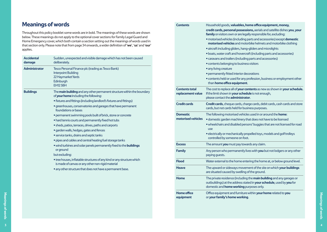## **Meanings of words**

| <b>Accidental</b><br>damage | Sudden, unexpected and visible damage which has not been caused<br>deliberately.                                               |
|-----------------------------|--------------------------------------------------------------------------------------------------------------------------------|
| <b>Administrator</b>        | Tesco Personal Finance plc (trading as Tesco Bank)<br>Interpoint Building<br>22 Haymarket Yards<br>Edinburgh<br><b>EH125BH</b> |
| <b>Buildings</b>            | The main building and any other permanent structure within the boundary<br>of your home including the following:               |
|                             | • fixtures and fittings (including landlord's fixtures and fittings)                                                           |
|                             | · greenhouses, conservatories and garages that have permanent<br>foundations or bases                                          |
|                             | • permanent swimming pools built of brick, stone or concrete                                                                   |
|                             | • hard tennis courts and permanently fixed hot tubs                                                                            |
|                             | • sheds, patios, terraces, drives, paths and carports                                                                          |
|                             | · garden walls, hedges, gates and fences                                                                                       |
|                             | • service tanks, drains and septic tanks                                                                                       |
|                             | · pipes and cables and central heating fuel storage tanks                                                                      |
|                             | • wind turbines and solar panels permanently fixed to the <b>buildings</b><br>or ground                                        |
|                             | but excluding:                                                                                                                 |
|                             | • tree houses, inflatable structures of any kind or any structure which<br>is made of canvas or any other non-rigid material   |
|                             | • any other structure that does not have a permanent base.                                                                     |
|                             |                                                                                                                                |
|                             |                                                                                                                                |

| applies.                                                   | Throughout this policy booklet some words are in bold. The meanings of these words are shown<br>below. These meanings do not apply to the optional cover sections for Family Legal Guard and<br>Home Emergency cover, which both contain a section setting out the meanings of words used in<br>that section only. Please note that from page 34 onwards, a wider definition of 'we', 'us' and 'our' |                                            | credit cards, personal possessions, aerials and satellite dishes you, your<br>family or visitors own or are legally responsible for, excluding:<br>· motorised vehicles (including parts and accessories) except domestic<br>motorised vehicles and motorbike helmets and motorbike clothing<br>· aircraft including gliders, hang-gliders and microlights<br>• boats, water craft and hovercraft (including parts and accessories) |
|------------------------------------------------------------|------------------------------------------------------------------------------------------------------------------------------------------------------------------------------------------------------------------------------------------------------------------------------------------------------------------------------------------------------------------------------------------------------|--------------------------------------------|-------------------------------------------------------------------------------------------------------------------------------------------------------------------------------------------------------------------------------------------------------------------------------------------------------------------------------------------------------------------------------------------------------------------------------------|
| <b>Accidental</b><br>damage<br><b>Administrator</b>        | Sudden, unexpected and visible damage which has not been caused<br>deliberately.<br>Tesco Personal Finance plc (trading as Tesco Bank)<br>Interpoint Building<br>22 Haymarket Yards<br>Edinburgh<br><b>EH125BH</b>                                                                                                                                                                                   |                                            | · caravans and trailers (including parts and accessories)<br>• contents belonging to business visitors<br>• any living creature<br>• permanently fitted interior decorations<br>• contents held or used for any profession, business or employment other<br>than home office equipment.                                                                                                                                             |
| <b>Buildings</b>                                           | The main building and any other permanent structure within the boundary<br>of your home including the following:                                                                                                                                                                                                                                                                                     | <b>Contents total</b><br>replacement value | The cost to replace all of your contents as new as shown in your schedule.<br>If the limit shown in your schedule is not enough,<br>please contact the administrator.                                                                                                                                                                                                                                                               |
|                                                            | • fixtures and fittings (including landlord's fixtures and fittings)<br>· greenhouses, conservatories and garages that have permanent<br>foundations or bases                                                                                                                                                                                                                                        | <b>Credit cards</b>                        | Credit cards, cheque cards, charge cards, debit cards, cash cards and store<br>cards, but not cards held for business purposes.                                                                                                                                                                                                                                                                                                     |
|                                                            | · permanent swimming pools built of brick, stone or concrete<br>• hard tennis courts and permanently fixed hot tubs<br>• sheds, patios, terraces, drives, paths and carports<br>· garden walls, hedges, gates and fences<br>· service tanks, drains and septic tanks<br>· pipes and cables and central heating fuel storage tanks                                                                    | <b>Domestic</b><br>motorised vehicles      | The following motorised vehicles used in or around the home:<br>· domestic garden machinery that does not have to be licensed<br>. wheelchairs and disabled persons' buggies that are not licensed for road<br>use<br>· electrically or mechanically propelled toys, models and golf trolleys<br>controlled by someone on foot.                                                                                                     |
|                                                            | . wind turbines and solar panels permanently fixed to the buildings                                                                                                                                                                                                                                                                                                                                  | <b>Excess</b>                              | The amount you must pay towards any claim.                                                                                                                                                                                                                                                                                                                                                                                          |
| or ground<br>but excluding:                                | <b>Family</b><br>• tree houses, inflatable structures of any kind or any structure which<br><b>Flood</b><br>is made of canvas or any other non-rigid material                                                                                                                                                                                                                                        |                                            | Any person who permanently lives with you but not lodgers or any other<br>paying guests.                                                                                                                                                                                                                                                                                                                                            |
|                                                            |                                                                                                                                                                                                                                                                                                                                                                                                      |                                            | Water external to the home entering the home at, or below ground level.                                                                                                                                                                                                                                                                                                                                                             |
| · any other structure that does not have a permanent base. |                                                                                                                                                                                                                                                                                                                                                                                                      | <b>Heave</b>                               | The upward or sideways movement of the site on which your buildings<br>are situated caused by swelling of the ground.                                                                                                                                                                                                                                                                                                               |
|                                                            |                                                                                                                                                                                                                                                                                                                                                                                                      | Home                                       | The private residence (including the main building and any garages or<br>outbuildings) at the address stated in your schedule, used by you for<br>domestic and <b>home working</b> purposes only.                                                                                                                                                                                                                                   |
|                                                            |                                                                                                                                                                                                                                                                                                                                                                                                      | <b>Home office</b><br>equipment            | Office equipment and furniture within your home related to you<br>or your family's home working.                                                                                                                                                                                                                                                                                                                                    |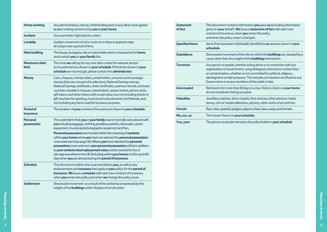| <b>Home working</b>            | Any administrative, clerical, childminding work or any other work agreed<br>by us in writing carried out by you at your home.                                                                                                                                                                                                                                                                                                                                                                                                |
|--------------------------------|------------------------------------------------------------------------------------------------------------------------------------------------------------------------------------------------------------------------------------------------------------------------------------------------------------------------------------------------------------------------------------------------------------------------------------------------------------------------------------------------------------------------------|
| <b>Incident</b>                | Any event that might lead to a claim.                                                                                                                                                                                                                                                                                                                                                                                                                                                                                        |
| <b>Landslip</b>                | Sudden movement of soil or rocks on a slope or gradual creep<br>of a slope over a period of time.                                                                                                                                                                                                                                                                                                                                                                                                                            |
| <b>Main building</b>           | The house, bungalow, flat or maisonette which is situated at the <b>home</b><br>and in which you or your family live.                                                                                                                                                                                                                                                                                                                                                                                                        |
| <b>Maximum claim</b><br>limit  | The most we will pay for any one claim under the relevant section<br>(or its extension) as shown in your schedule. If the limits shown in your<br>schedule are not enough, please contact the administrator.                                                                                                                                                                                                                                                                                                                 |
| <b>Money</b>                   | Cash, cheques, money orders, postal orders, unused current postage<br>stamps (that are not part of a collection), National Savings stamps,<br>National Savings certificates, share certificates, premium bonds, luncheon<br>vouchers, traveller's cheques, travel tickets, season tickets, phone cards,<br>gift tokens and other tokens with a cash value, but not including tickets or<br>gift vouchers for sporting, musical and cultural events and festivals, and<br>not including any items used for business purposes. |
| Period of<br>insurance         | The duration of your contract of insurance as shown in your schedule.                                                                                                                                                                                                                                                                                                                                                                                                                                                        |
| <b>Personal</b><br>possessions | This covers items that you or your family wear or normally carry around with<br>you including baggage, clothing, jewellery, watches, binoculars, sports<br>equipment, musical and photographic equipment and furs.                                                                                                                                                                                                                                                                                                           |
|                                | Personal possessions are included within the meaning of contents<br>within your home where you have not selected the personal possessions<br>cover extension (see page 30). Where you have selected the personal<br>possessions cover extension your personal possessions will be in addition<br>to your contents total replacement value and be covered for loss or<br>damage anywhere in the UK (including within your home) and for up to 60<br>days when you are abroad during the period of insurance.                  |
| <b>Schedule</b>                | This document outlines the cover provided to you, as well as any<br>endorsements and excesses that apply to your policy for the period of<br>insurance. We issue a schedule with each new contract of insurance,<br>when you renew the policy and when we change the policy cover.                                                                                                                                                                                                                                           |
| <b>Settlement</b>              | Downward movement as a result of the soil being compressed by the<br>weight of the <b>buildings</b> within 10 years of construction.                                                                                                                                                                                                                                                                                                                                                                                         |

| <b>Statement</b><br><b>of fact</b> | This document contains information you gave us (including information<br>given on your behalf). We issue a statement of fact with each new<br>contract of insurance, when you renew the policy<br>and when the policy cover is changed.                                                                                                                        |
|------------------------------------|----------------------------------------------------------------------------------------------------------------------------------------------------------------------------------------------------------------------------------------------------------------------------------------------------------------------------------------------------------------|
| <b>Specified items</b>             | Items that have been individually identified to us and are shown in your<br>schedule.                                                                                                                                                                                                                                                                          |
| <b>Subsidence</b>                  | Downward movement of the site on which the <b>buildings</b> are situated by a<br>cause other than the weight of the <b>buildings</b> themselves.                                                                                                                                                                                                               |
| <b>Terrorism</b>                   | Any person or people, whether acting alone or in connection with any<br>organisation or Government, using biological, chemical or nuclear force<br>or contamination, whether or not committed for political, religious,<br>ideological or similar purposes. This includes an intention to influence any<br>Government or to put members of the public in fear. |
| <b>Unoccupied</b>                  | Not lived in for more than 60 days in a row. Visits to check on your home<br>do not constitute it being occupied.                                                                                                                                                                                                                                              |
| <b>Valuables</b>                   | Jewellery, watches, items of gold, silver and any other precious metal,<br>stamp, coin or medal collections, pictures, other works of art and furs.                                                                                                                                                                                                            |
| <b>Vermin</b>                      | Rats, mice, squirrels, badgers, pigeons, foxes, bees, wasps and hornets.                                                                                                                                                                                                                                                                                       |
| We, our, us                        | The insurer shown on your schedule.                                                                                                                                                                                                                                                                                                                            |
| You, your                          | The person or people named as the policyholder in <b>your schedule</b> .                                                                                                                                                                                                                                                                                       |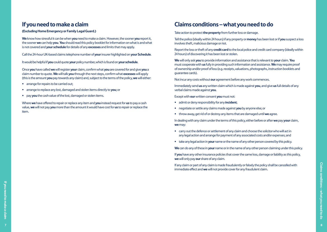### **If you need to make a claim**

#### **(Excluding Home Emergency or Family Legal Guard.)**

**We** know how stressful it can be when **you** need to make a claim. However, the sooner **you** report it, the sooner **we** can help **you**. **You** should read this policy booklet for information on what is and what is not covered and **your schedule** for details of any **excesses** and limits that may apply.

Call the 24-hour UK-based claims telephone number of **your** insurer highlighted on **your Schedule**.

It would be helpful if **you** could quote **your** policy number, which is found on **your schedule**.

Once **you** have called **we** will register **your** claim, confirm what **you** are covered for and give **you** a claim number to quote. **We** will talk **you** through the next steps, confirm what **excesses** will apply (this is the amount **you** pay towards any claim) and, subject to the terms of the policy, **we** will either:

- **•** arrange for repairs to be carried out;
- **•** arrange to replace any lost, damaged and stolen items directly to **you**; or
- **•** pay **you** the cash value of the lost, damaged or stolen items.

Where **we** have offered to repair or replace any item and **you** instead request for **us** to pay a cash value, **we** will not pay **you** more than the amount it would have cost for **us** to repair or replace the item.

## **Claims conditions – what you need to do**

Take action to protect **the property** from further loss or damage.

Tell the police (ideally within 24 hours) if any property or **money** has been lost or if **you** suspect a loss involves theft, malicious damage or riot.

Report the loss or theft of any **credit card** to the local police and credit card company (ideally within 24 hours) of discovering it has been lost or stolen.

**We** will only ask **you** to provide information and assistance that is relevant to **your** claim. **You** must cooperate with **us** fully in providing such information and assistance. **We** may require proof of ownership and/or proof of loss (e.g. receipts, valuations, photographs, instruction booklets and guarantee cards).

Not incur any costs without **our** agreement before any work commences.

Immediately send **us** any written claim which is made against **you**, and give **us** full details of any verbal claims made against **you**.

Except with **our** written consent **you** must not:

- **•** admit or deny responsibility for any **incident**;
- **•** negotiate or settle any claims made against **you** by anyone else; or
- **•** throw away, get rid of or destroy any items that are damaged until **we** agree.

In dealing with any claim under the terms of this policy, either before or after **we** pay **your** claim, **we** may:

- **•** carry out the defence or settlement of any claim and choose the solicitor who will act in any legal action and arrange for payment of any associated costs and/or expenses; and
- take any legal action in **your** name or the name of any other person covered by this policy.

**We** can do any of these in **your** name or in the name of any other person claiming under this policy.

If **you** have any other insurance policies that cover the same loss, damage or liability as this policy, **we** will only pay **our** share of any claim.

**Frany claim or part of any claim is made fractualently or falsely the policy shall be cancelled with**<br>
immediate effect and we will not provide cover for any fraudulent claim.<br> **Example 2**<br> **Example 2**<br> **Example 2**<br> **Exam** If any claim or part of any claim is made fraudulently or falsely the policy shall be cancelled with immediate effect and **we** will not provide cover for any fraudulent claim.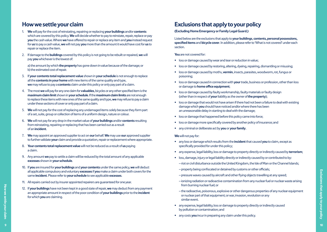### **How we settle your claim**

- 1. **We** will pay for the cost of reinstating, repairing or replacing **your buildings** and/or **contents**  which are covered by this policy. **We** will decide whether to pay to reinstate, repair, replace or pay **you** the cash value. Where **we** have offered to repair or replace any item and **you** instead request for **us** to pay a cash value, **we** will not pay **you** more than the amount it would have cost for **us** to repair or replace the item.
- 2.If damage to the **buildings** covered by this policy is not going to be rebuilt or repaired, **we** will pay **you** whichever is the lowest of:

a) the amount by which **the property** has gone down in value because of the damage; or b) the estimated cost of repair.

- 3. If **your contents total replacement value** shown in **your schedule** is not enough to replace all the **contents in your home** with new items of the same quality and type, **we** may refuse to pay a **contents** claim under this policy or only pay part of a claim.
- 4. The most **we** will pay for any one claim for **valuables**, bicycles or any other specified item is the **maximum claim limit** shown in **your schedule**. If the **maximum claim limits** are not enough to replace these items with new ones of the same quality and type, **we** may refuse to pay a claim under these sections of cover or only pay part of a claim.
- 5. **We** will not pay for the cost of replacing any undamaged items solely because they form part of a set, suite, group or collection of items of a uniform design, nature or colour.
- 6. **We** will not pay for any drop in the market value of **your buildings** and/or **contents** resulting from reinstating, repairing or replacing that has been carried out as a result of an **incident**.
- 7. **We** may appoint an approved supplier to act on **our** behalf. **We** may use **our** approved supplier to further validate **your** claim and provide a quotation, repair or replacement where appropriate.
- 8. **Your contents total replacement value** will not be reduced as a result of **us** paying a claim.
- 9.Any amount **we** pay to settle a claim will be reduced by the total amount of any applicable **excesses** shown in **your schedule**.
- 10. If **you** are insured for **your buildings** and **your contents** under the same policy, **we** will deduct all applicable compulsory and voluntary **excesses** if **you** make a claim under both covers for the same **incident**. Please refer to **your schedule** to see applicable **excesses**.
- 11. All repairs carried out by insurer appointed repairers are guaranteed for one year.
- all applicable compulsory and boundary excess if you make a daim under both covers for the<br> **10**<br> **10**<br> **11** All repairs carried out by insure applicable to see applicable axeases.<br> **11** All repairs carried out by insure a 12. If **your buildings** have not been kept in a good state of repair, **we** may deduct from any payment an appropriate amount in respect of the poor condition of **your buildings** prior to the **incident** for which **you** are claiming.

### **Exclusions that apply to your policy**

#### **(Excluding Home Emergency or Family Legal Guard.)**

Listed below are the exclusions that apply to **your buildings**, **contents, personal possessions, specified items** and **bicycle cover**. In addition, please refer to 'What is not covered' under each section.

**You** are not covered for:

- **•** loss or damage caused by wear and tear or reduction in value;
- loss or damage caused by restoring, altering, dyeing, repairing, dismantling or misusing;
- loss or damage caused by moths, **vermin**, insects, parasites, woodworm, rot, fungus or poisoning;
- loss or damage caused in connection with **your** trade, business or profession, other than loss or damage to **home office equipment**;
- loss or damage caused by faulty workmanship, faulty materials or faulty design (other than in respect of **your** liability as the owner of **the property**);
- loss or damage that would not have arisen if there had not been a failure to deal with existing damage which **you** should have noticed and/or where there has been an unreasonable delay in starting to deal with the damage;
- **•** loss or damage that happened before this policy came into force;
- loss or damage more specifically covered by another policy of insurance: and
- **•** any criminal or deliberate act by **you** or **your family**.

#### **We** will not pay for:

- any loss or damage which results from the **incident** that caused **you** to claim, except as specifically provided for under this policy;
- any expense, legal liability, loss or damage to property directly or indirectly caused by **terrorism**;
- loss, damage, injury or legal liability directly or indirectly caused by or contributed to by:
	- riot or civil disturbance outside the United Kingdom, the Isle of Man or the Channel Islands;
	- property being confiscated or detained by customs or other officials;
	- pressure waves caused by aircraft and other flying objects travelling at any speed;
	- ionizing radiation or radioactive contamination from any nuclear fuel or nuclear waste arising from burning nuclear fuel; or
	- the radioactive, poisonous, explosive or other dangerous properties of any nuclear equipment or nuclear part of that equipment; or war, invasion, revolution or any similar event.
- any expense, legal liability, loss or damage to property directly or indirectly caused by pollution or contamination; and
- **•** any costs **you** incur in preparing any claim under this policy.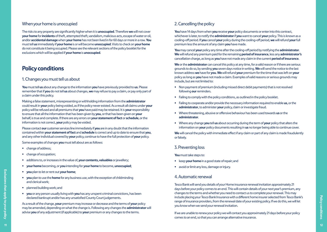#### When your home is unoccupied

The risks to any property are significantly higher when it is **unoccupied**. Therefore **we** will not cover **your home** for **incidents** of theft, attempted theft, vandalism, malicious acts, escape of water or oil, and/or **accidental damage** when **your home** has not been lived in for 60 days or more in a row. **You** must tell **us** immediately if **your home** is or will become **unoccupied**. Visits to check on **your home** do not constitute it being occupied. Please see the relevant sections of the policy booklet for the exclusions which will be applied if **your home** is **unoccupied**.

### **Policy conditions**

#### 1. Changes you must tell us about

**You** must tell **us** about any change to the information **you** have previously provided to **us**. Please remember that if **you** do not tell **us** about changes, **we** may refuse to pay a claim, or pay only part of a claim under this policy.

Making a false statement, misrepresenting or withholding information from the **administrator**  could result in **your** policy being voided, as if the policy never existed. As a result all claims under **your**  policy will be refused and all premiums that **you** have paid may be retained. It is **your** responsibility to ensure that all the information that has been given by **you**, or that has been given on **your** behalf, is true and complete. If there are any errors on **your statement of fact** or **schedule**, or the information is not correct, **your** policy may be voided.

Please contact **our** customer services line immediately if **you** are in any doubt that the information contained within **your statement of fact** and **schedule** is correct and up to date to ensure that **you**, and any other individual covered by **your** policy, continue to have the full protection of **your** policy.

Some examples of changes **you** must tell about are as follows:

- **•** change of address;
- **•** change of occupation;
- **•** additions to, or increases in the value of, **your contents, valuables** or jewellery;
- **• your home** becoming, or **you** intending for **your home** to become, **unoccupied**;
- **you** plan to let or rent out **your home**;
- **you** plan to use the **home** for any business use, with the exception of childminding and clerical work;
- **•** planned building work; and
- **you** or any person usually living with **you** has any unspent criminal convictions, has been declared bankrupt and/or has any unsatisfied County Court judgements.

As a result of the change, **your** premium may increase or decrease and the terms of **your** policy may be amended, depending on what the change is. Following any changes the **administrator** will advise **you** of any adjustment (if applicable) to **your** premium or any changes to the terms.

### 2. Cancelling the policy

**You** have 14 days from when **you** receive **your** policy documents or enter into this contract, whichever is later, to notify the **administrator** if **you** want to cancel **your** policy. This is known as a cooling-off period. If **you** cancel **your** policy during the cooling-off period, **we** will refund **your** full premium less the amount of any claim **you** have made.

**You** may cancel **your** policy any time after the cooling-off period by notifying the **administrator**. **We** will refund any premium paid for the remaining **period of insurance**, less any **administrator's**  cancellation charge, as long as **you** have not made any claim in the current **period of insurance**.

**We** or the **administrator** can cancel this policy at any time, for a valid reason or if there are serious grounds to do so, by sending **you** seven days notice in writing. **We** will send the notice to the last known address **we** have for **you**. **We** will refund **your** premium for the time that was left on **your** policy as long as **you** have not made a claim. Examples of valid reasons or serious grounds may include, but are not limited to:

- Non payment of premium (including missed direct debit payments) that is not resolved following **our** reminders.
- Failing to comply with the policy conditions, as outlined in the policy booklet.
- Failing to cooperate and/or provide the necessary information required to enable **us**, or the **administrator**, to administer **your** policy, claim or investigate fraud.
- Where threatening, abusive or offensive behaviour has been used towards **us** or the **administrator**.
- Where any change **you** tell **us** about occurring during the term of **your** policy that alters the information on **your** policy documents resulting in **us** no longer being able to continue cover.

**We** will cancel the policy with immediate effect if any claim or part of any claim is made fraudulently or falsely.

### 3. Preventing loss

**You** must take steps to:

- **•** keep **your home** in a good state of repair; and
- **•** avoid or limit any loss, damage or injury.

#### 4. Automatic renewal

• **you** plan to let or rent out **your home;**<br>
and derical work;<br>
and derical work;<br>
and derical work;<br>
and derical work;<br>
and derical work;<br>
and derical work;<br>
and derical work;<br>
and derical work;<br>
and the conditions to Tesco Bank will send you details of your Home insurance renewal invitation approximately 21 days before your policy comes to an end. This will contain details of your next year's premium, any changes to the terms and whether you need to contact us to complete your renewal. This may include placing your Tesco Bank Insurance with a different home insurer selected from Tesco Bank's range of insurance providers, from the renewal date of your existing policy. If we do this, we will let you know when we send your renewal invitation.

If we are unable to renew your policy we will contact you approximately 21 days before your policy comes to an end, so that you can arrange alternative insurance.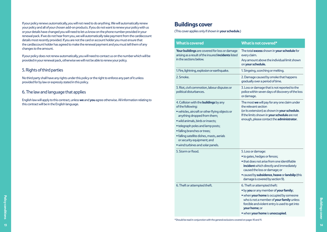If your policy renews automatically, you will not need to do anything. We will automatically renew your policy and all of your chosen add-on products. If you do not want to renew your policy with us or your details have changed you will need to let us know on the phone number provided in your renewal pack. If we do not hear from you, we will automatically take payment from the card/account details most recently provided. If you are not the card or account holder you must ensure that the card/account holder has agreed to make the renewal payment and you must tell them of any changes to the amount.

#### 5. Rights of third parties

#### 6. The law and language that applies

### **Buildings cover**

(This cover applies only if shown in **your schedule**.)

| details most recently provided. If you are not the card or account holder you must ensure that<br>the card/account holder has agreed to make the renewal payment and you must tell them of any                       | <b>What is covered</b>                                                                                                                                                                                                                                                                                                                                                          | What is not covered*                                                                                                                                                                                                                                                        |
|----------------------------------------------------------------------------------------------------------------------------------------------------------------------------------------------------------------------|---------------------------------------------------------------------------------------------------------------------------------------------------------------------------------------------------------------------------------------------------------------------------------------------------------------------------------------------------------------------------------|-----------------------------------------------------------------------------------------------------------------------------------------------------------------------------------------------------------------------------------------------------------------------------|
| changes to the amount.<br>If your policy does not renew automatically, you will need to contact us on the number which will be<br>provided in your renewal pack, otherwise we will not be able to renew your policy. | Your buildings are covered for loss or damage<br>arising as a result of the insured incidents listed<br>in the sections below.                                                                                                                                                                                                                                                  | The total excess shown in your schedule for<br>every claim.<br>Any amount above the individual limit shown<br>on your schedule.                                                                                                                                             |
| 5. Rights of third parties                                                                                                                                                                                           | 1. Fire, lightning, explosion or earthquake.                                                                                                                                                                                                                                                                                                                                    | 1. Singeing, scorching or melting.                                                                                                                                                                                                                                          |
| No third party shall have any rights under this policy or the right to enforce any part of it unless<br>provided for by law or expressly stated in this policy.                                                      | 2. Smoke.                                                                                                                                                                                                                                                                                                                                                                       | 2. Damage caused by smoke that happens<br>gradually over a period of time.                                                                                                                                                                                                  |
| 6. The law and language that applies                                                                                                                                                                                 | 3. Riot, civil commotion, labour disputes or<br>political disturbances.                                                                                                                                                                                                                                                                                                         | 3. Loss or damage that is not reported to the<br>police within seven days of discovery of the loss<br>or damage.                                                                                                                                                            |
| English law will apply to this contract, unless we and you agree otherwise. All information relating to<br>this contract will be in the English language.                                                            | 4. Collision with the <b>buildings</b> by any<br>of the following:<br>· vehicles, aircraft or other flying objects or<br>anything dropped from them;<br>· wild animals, birds or insects;<br>• telegraph poles and lamp posts;<br>· falling branches or trees;<br>· falling satellite dishes, masts, aerials<br>or security equipment; and<br>· wind turbines and solar panels. | The most we will pay for any one claim under<br>the relevant section<br>(or its extension) as shown in your schedule.<br>If the limits shown in your schedule are not<br>enough, please contact the administrator.                                                          |
|                                                                                                                                                                                                                      | 5. Storm or flood.                                                                                                                                                                                                                                                                                                                                                              | 5. Loss or damage:<br>• to gates, hedges or fences;<br>• that does not arise from one identifiable<br>incident which directly and immediately<br>caused the loss or damage; or<br>· caused by subsidence, heave or landslip (this<br>damage is covered by section 9).       |
|                                                                                                                                                                                                                      | 6. Theft or attempted theft.                                                                                                                                                                                                                                                                                                                                                    | 6. Theft or attempted theft:<br>. by you or any member of your family;<br>. when your home is occupied by someone<br>who is not a member of your family unless<br>forcible and violent entry is used to get into<br><b>your home; or</b><br>• when your home is unoccupied. |
|                                                                                                                                                                                                                      | *Should be read in conjunction with the general exclusions covered on pages 10 and 11.                                                                                                                                                                                                                                                                                          |                                                                                                                                                                                                                                                                             |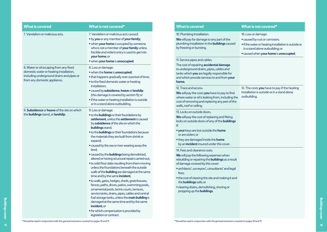| <b>What is covered</b>                                                                                                                                          | What is not covered*                                                                                                                                                                                                                                                                                                                                                                                                                                                                                                                                                                                                                                                                                                                                                                                                                                                                                                                                                                                                                       |
|-----------------------------------------------------------------------------------------------------------------------------------------------------------------|--------------------------------------------------------------------------------------------------------------------------------------------------------------------------------------------------------------------------------------------------------------------------------------------------------------------------------------------------------------------------------------------------------------------------------------------------------------------------------------------------------------------------------------------------------------------------------------------------------------------------------------------------------------------------------------------------------------------------------------------------------------------------------------------------------------------------------------------------------------------------------------------------------------------------------------------------------------------------------------------------------------------------------------------|
| 7. Vandalism or malicious acts.                                                                                                                                 | 7. Vandalism or malicious acts caused:<br>. by you or any member of your family;<br>• when your home is occupied by someone<br>who is not a member of your family unless<br>forcible and violent entry is used to get into<br>your home; or<br>. when your home is unoccupied.                                                                                                                                                                                                                                                                                                                                                                                                                                                                                                                                                                                                                                                                                                                                                             |
| 8. Water or oil escaping from any fixed<br>domestic water or heating installation,<br>including underground drains and pipes or<br>from any domestic appliance. | 8. Loss or damage:<br>• when the <b>home</b> is <b>unoccupied</b> ;<br>. that happens gradually over a period of time;<br>• to the fixed domestic water or heating<br>installation;<br>• caused by subsidence, heave or landslip<br>(this damage is covered by section 9); or<br>• if the water or heating installation is outside<br>or in a stand alone outbuilding.                                                                                                                                                                                                                                                                                                                                                                                                                                                                                                                                                                                                                                                                     |
| 9. Subsidence or heave of the site on which<br>the <b>buildings</b> stand, or <b>landslip</b> .                                                                 | 9. Loss or damage:<br>. to the buildings or their foundations by<br>settlement, unless the settlement is caused<br>by subsidence of the site on which the<br><b>buildings</b> stand;<br>• to the <b>buildings</b> or their foundations because<br>the materials they are built from shrink or<br>expand;<br>• caused by the sea or river wearing away the<br>land;<br>• caused by the <b>buildings</b> being demolished,<br>altered or having structural repairs carried out;<br>• to solid floor slabs resulting from them moving<br>unless the foundations beneath the outside<br>walls of the <b>building</b> are damaged at the same<br>time and by the same incident;<br>• to walls, gates, hedges, sheds, greenhouses,<br>fences, paths, drives, patios, swimming pools,<br>ornamental pools, tennis courts, terraces,<br>service tanks, drains, pipes, cables and central<br>fuel storage tanks, unless the main building is<br>damaged at the same time and by the same<br>incident; or<br>• for which compensation is provided by |

| <b>What is covered</b>                                                                                                                                          | What is not covered*                                                                                                                                                                                                                                                                                                                                             | <b>What is covered</b>                                                                                                                                                                                                                                                         | What is not covered*                                                                                                                                                                        |
|-----------------------------------------------------------------------------------------------------------------------------------------------------------------|------------------------------------------------------------------------------------------------------------------------------------------------------------------------------------------------------------------------------------------------------------------------------------------------------------------------------------------------------------------|--------------------------------------------------------------------------------------------------------------------------------------------------------------------------------------------------------------------------------------------------------------------------------|---------------------------------------------------------------------------------------------------------------------------------------------------------------------------------------------|
| 7. Vandalism or malicious acts.                                                                                                                                 | 7. Vandalism or malicious acts caused:<br>• by you or any member of your family;<br>. when your home is occupied by someone<br>who is not a member of your family unless<br>forcible and violent entry is used to get into<br>your home; or                                                                                                                      | 10. Plumbing Installation.<br>We will pay for damage to any part of the<br>plumbing installation in the <b>buildings</b> caused<br>by freezing or bursting.                                                                                                                    | 10. Loss or damage:<br>• caused by rust or corrosion;<br>· if the water or heating installation is outside or<br>in a stand alone outbuilding; or<br>• caused when your home is unoccupied. |
|                                                                                                                                                                 | • when your home is unoccupied.                                                                                                                                                                                                                                                                                                                                  | 11. Service pipes and cables.                                                                                                                                                                                                                                                  |                                                                                                                                                                                             |
| 8. Water or oil escaping from any fixed<br>domestic water or heating installation,<br>including underground drains and pipes or<br>from any domestic appliance. | 8. Loss or damage:<br>• when the home is unoccupied;<br>• that happens gradually over a period of time;<br>• to the fixed domestic water or heating                                                                                                                                                                                                              | The cost of repairing accidental damage<br>to underground drains, pipes, cables and<br>tanks which you are legally responsible for<br>and which provide services to and from your<br>home.                                                                                     |                                                                                                                                                                                             |
|                                                                                                                                                                 | installation;                                                                                                                                                                                                                                                                                                                                                    | 12. Trace and access.                                                                                                                                                                                                                                                          | 12. The costs you have to pay if the heating                                                                                                                                                |
|                                                                                                                                                                 | · caused by subsidence, heave or landslip<br>(this damage is covered by section 9); or<br>• if the water or heating installation is outside<br>or in a stand alone outbuilding.                                                                                                                                                                                  | We will pay the costs you have to pay to find<br>where water or oil is leaking from, including the<br>cost of removing and replacing any part of the<br>walls, roof or ceiling.                                                                                                | installation is outside or in a stand alone<br>outbuilding.                                                                                                                                 |
| 9. Subsidence or heave of the site on which<br>the buildings stand, or landslip.                                                                                | 9. Loss or damage:<br>• to the <b>buildings</b> or their foundations by<br>settlement, unless the settlement is caused<br>by subsidence of the site on which the<br><b>buildings</b> stand;<br>• to the <b>buildings</b> or their foundations because<br>the materials they are built from shrink or<br>expand;<br>• caused by the sea or river wearing away the | 13. Locks on outside doors.<br>We will pay the cost of replacing and fitting<br>locks on outside doors of any of the buildings<br>. your keys are lost outside the home<br>or are stolen; or<br>. they are damaged inside the home<br>by an incident insured under this cover. |                                                                                                                                                                                             |
|                                                                                                                                                                 | land;                                                                                                                                                                                                                                                                                                                                                            | 14. Fees and clearance costs.                                                                                                                                                                                                                                                  |                                                                                                                                                                                             |
|                                                                                                                                                                 | • caused by the <b>buildings</b> being demolished,<br>altered or having structural repairs carried out;<br>. to solid floor slabs resulting from them moving<br>unless the foundations beneath the outside<br>walls of the <b>building</b> are damaged at the same<br>time and by the same incident;                                                             | We will pay the following expenses when<br>rebuilding or repairing the <b>buildings</b> as a result<br>of damage covered by this cover:<br>· architects', surveyors', consultants' and legal<br>fees;<br>• the cost of clearing the site and making it and                     |                                                                                                                                                                                             |
|                                                                                                                                                                 | · to walls, gates, hedges, sheds, greenhouses,<br>fences, paths, drives, patios, swimming pools,<br>ornamental pools, tennis courts, terraces,<br>service tanks, drains, pipes, cables and central<br>fuel storage tanks, unless the main building is<br>damaged at the same time and by the same<br>incident; or                                                | the <b>buildings</b> safe; or<br>· clearing drains, demolishing, shoring or<br>propping up the <b>buildings</b> .                                                                                                                                                              |                                                                                                                                                                                             |
|                                                                                                                                                                 | · for which compensation is provided by<br>legislation or contract.                                                                                                                                                                                                                                                                                              |                                                                                                                                                                                                                                                                                |                                                                                                                                                                                             |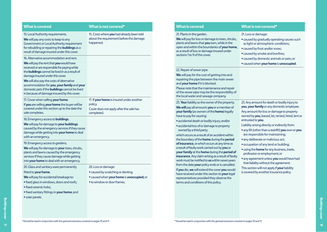|  | <b>What is covered</b> |
|--|------------------------|
|  |                        |

#### **What is not covered\***

15. Local Authority requirements.

**We** will pay any costs to keep to any Government or Local Authority requirement for rebuilding or repairing the **buildings** as a result of damage insured under this cover.

16. Alternative accommodation and rent.

**We** will pay the rent that **you** would have received or are responsible for paying while the **buildings** cannot be lived in as a result of damage insured under this cover.

**We** will also pay the costs of alternative accommodation for **you**, **your family** and **your**  domestic pets if the **buildings** cannot be lived in because of damage insured by this cover.

17. Cover when selling **your home**. If **you** are selling **your home** the buyer will be covered under this section up to the date the sale completes.

18. Emergency access to **buildings**.

**We** will pay for damage to **your buildings**  caused by the emergency services if they cause damage while getting into **your home** to deal with an emergency.

#### 19. Emergency access to gardens.

**We** will pay for damage to **your** trees, shrubs, plants and lawns caused by the emergency services if they cause damage while getting into **your home** to deal with an emergency.

20. Glass and sanitary ware permanently

#### fitted to **your home**.

- **We** will pay for accidental breakage to:
- fixed glass in windows, doors and roofs;
- fixed ceramic hobs;
- fixed sanitary fittings in **your home**; and
- solar panels.

#### 20. Loss or damage:

- caused by scratching or denting.
- caused when **your home** is **unoccupied;** or
- to window or door frames.

| <b>What is covered</b>                                                                                                                                                                                                                                                                                                                                                                                                                            | What is not covered*                                                                                                                                                                                                                                                                                                                                                                                                                        |
|---------------------------------------------------------------------------------------------------------------------------------------------------------------------------------------------------------------------------------------------------------------------------------------------------------------------------------------------------------------------------------------------------------------------------------------------------|---------------------------------------------------------------------------------------------------------------------------------------------------------------------------------------------------------------------------------------------------------------------------------------------------------------------------------------------------------------------------------------------------------------------------------------------|
| 21. Plants in the garden.<br>We will pay for loss or damage to trees, shrubs,<br>plants and lawns that you own, while in the<br>open and within the boundaries of your home,<br>as a result of loss or damage insured under<br>sections 1 to 9 of this cover.                                                                                                                                                                                     | 21. Loss or damage:<br>• caused by gradually operating causes such<br>as light or atmospheric conditions;<br>• caused by frost and/or snow;<br>• caused by smoke and bonfires;<br>• caused by domestic animals or pets; or<br>· caused when your home is unoccupied.                                                                                                                                                                        |
| 22. Repair of sewer pipe.<br>We will pay for the cost of getting into and<br>repairing the pipe between the main sewer<br>and your home if it is blocked.<br>Please note that the maintenance and repair<br>of the sewer pipe may be the responsibility of                                                                                                                                                                                        |                                                                                                                                                                                                                                                                                                                                                                                                                                             |
| 23. Your liability as the owner of the property.<br>We will pay all amounts you or a member of<br>your family (as owners of the home) legally<br>have to pay for causing:<br>· accidental death or bodily injury; and/or<br>• accidental loss of or damage to property<br>owned by a third party;<br>which occurs as a result of an accident within<br>the boundary of the home during the period<br>of insurance, or which occurs at any time as | 23. Any amount for death or bodily injury to<br>you, your family or any domestic employee.<br>Any amount for loss or damage to property<br>owned by you, leased, let, rented, hired, lent o<br>entrusted to you.<br>Liability arising directly or indirectly from:<br>· any lift (other than a stairlift) you own or you<br>are responsible for maintaining;<br>• any deliberate or malicious act;<br>• occupation of any land or building; |
|                                                                                                                                                                                                                                                                                                                                                                                                                                                   | the local water and sewage company.                                                                                                                                                                                                                                                                                                                                                                                                         |

**yourfamily** at the **home** during the **period of insurance**. Any claim arising as a result of faulty work must be notified to **us** within seven years from the date **your** policy ends or is cancelled.

If **you** die, **we** will extend the cover **you** would have received under this section to **your** legal representatives provided they observe the terms and conditions of this policy.

- v arising directly or indirectly from:
- any lift (other than a stairlift) **you** own or **you**  sponsible for maintaining;
- any deliberate or malicious act;

- *ation of any land or building*;
- **the home** for any business, trade, profession or employment; or
- any agreement unless **you** would have had that liability without the agreement.

This section will not apply if **your** liability is covered by another insurance policy.

**18**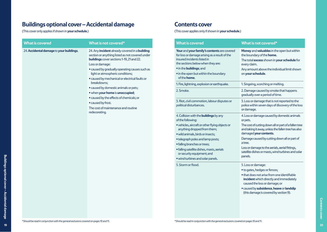## **Buildings optional cover – Accidental damage**

(This cover only applies if shown in **your schedule**.)

| 24. Accidental damage to your buildings.<br>24. Any incident already covered in a building<br>Your and yo<br>section or anything listed as not covered under<br>for loss or d<br>buildings cover sections 1-19, 21 and 22.<br>insured inci<br>the section<br>Loss or damage:<br>• in the buil<br>· caused by gradually operating causes such as<br>light or atmospheric conditions;<br>· in the ope<br>of the hor<br>· caused by mechanical or electrical faults or<br>breakdowns;<br>1. Fire, lightr<br>· caused by domestic animals or pets;<br>2. Smoke.<br>. when your home is unoccupied;<br>· caused by the effects of chemicals; or<br>3. Riot, civil<br>• caused by frost.<br>political dis-<br>The cost of maintenance and routine<br>redecorating.<br>4. Collision<br>of the follov<br>· vehicles, a<br>anything<br>· wild anim<br>• telegraph<br>· falling bra<br>· falling sate<br>or security<br>· wind turb<br>5. Storm or |
|------------------------------------------------------------------------------------------------------------------------------------------------------------------------------------------------------------------------------------------------------------------------------------------------------------------------------------------------------------------------------------------------------------------------------------------------------------------------------------------------------------------------------------------------------------------------------------------------------------------------------------------------------------------------------------------------------------------------------------------------------------------------------------------------------------------------------------------------------------------------------------------------------------------------------------------|
|                                                                                                                                                                                                                                                                                                                                                                                                                                                                                                                                                                                                                                                                                                                                                                                                                                                                                                                                          |

### **Contents cover**

(This cover applies only if shown in **your schedule**.)

| <b>What is covered</b>                                                                                                                                                                                                                                                                                                                                                                                | What is not covered*                                                                                                                                                                                                                                                                                                                                                                                                                                                                                                                                                                                             |
|-------------------------------------------------------------------------------------------------------------------------------------------------------------------------------------------------------------------------------------------------------------------------------------------------------------------------------------------------------------------------------------------------------|------------------------------------------------------------------------------------------------------------------------------------------------------------------------------------------------------------------------------------------------------------------------------------------------------------------------------------------------------------------------------------------------------------------------------------------------------------------------------------------------------------------------------------------------------------------------------------------------------------------|
| Your and your family's contents are covered<br>for loss or damage arising as a result of the<br>insured incidents listed in<br>the sections below when they are:<br>· in the buildings; and<br>· in the open but within the boundary<br>of the <b>home</b> .                                                                                                                                          | Money and valuables in the open but within<br>the boundary of the home.<br>The total excess shown in your schedule for<br>every claim.<br>Any amount above the individual limit shown<br>on your schedule.                                                                                                                                                                                                                                                                                                                                                                                                       |
| 1. Fire, lightning, explosion or earthquake.                                                                                                                                                                                                                                                                                                                                                          | 1. Singeing, scorching or melting.                                                                                                                                                                                                                                                                                                                                                                                                                                                                                                                                                                               |
| 2. Smoke.                                                                                                                                                                                                                                                                                                                                                                                             | 2. Damage caused by smoke that happens<br>gradually over a period of time.                                                                                                                                                                                                                                                                                                                                                                                                                                                                                                                                       |
| 3. Riot, civil commotion, labour disputes or<br>political disturbances.                                                                                                                                                                                                                                                                                                                               | 3. Loss or damage that is not reported to the<br>police within seven days of discovery of the loss<br>or damage.                                                                                                                                                                                                                                                                                                                                                                                                                                                                                                 |
| 4. Collision with the <b>buildings</b> by any<br>of the following:<br>· vehicles, aircraft or other flying objects or<br>anything dropped from them;<br>· wild animals, birds or insects;<br>· telegraph poles and lamp posts;<br>· falling branches or trees;<br>· falling satellite dishes, masts, aerials<br>or security equipment; and<br>· wind turbines and solar panels.<br>5. Storm or flood. | 4. Loss or damage caused by domestic animals<br>or pets.<br>The cost of cutting down all or part of a fallen tree<br>and taking it away, unless the fallen tree has also<br>damaged your contents.<br>Damage caused by cutting down all or part of<br>a tree.<br>Loss or damage to the aerials, aerial fittings,<br>satellite dishes or masts, wind turbines and solar<br>panels.<br>5. Loss or damage:<br>• to gates, hedges or fences;<br>· that does not arise from one identifiable<br>incident which directly and immediately<br>caused the loss or damage; or<br>· caused by subsidence, heave or landslip |
|                                                                                                                                                                                                                                                                                                                                                                                                       | (this damage is covered by section 9).                                                                                                                                                                                                                                                                                                                                                                                                                                                                                                                                                                           |

**Contents cover**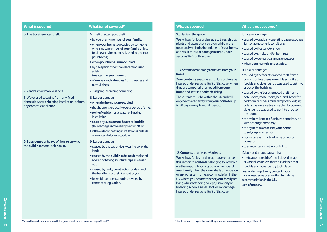| <b>What is covered</b>                                                                                                                                                                                                                                                                                                                                                           | What is not covered*                                                                                                                                                                                                                                                                                                                                                                                                                                                                        | <b>What is covered</b>                                                                                                                                                                                                                                                                                                                                                                                                   | What is not covered*                                                                                                                                                                                                                                                                                                                                                                                                                                                                           |
|----------------------------------------------------------------------------------------------------------------------------------------------------------------------------------------------------------------------------------------------------------------------------------------------------------------------------------------------------------------------------------|---------------------------------------------------------------------------------------------------------------------------------------------------------------------------------------------------------------------------------------------------------------------------------------------------------------------------------------------------------------------------------------------------------------------------------------------------------------------------------------------|--------------------------------------------------------------------------------------------------------------------------------------------------------------------------------------------------------------------------------------------------------------------------------------------------------------------------------------------------------------------------------------------------------------------------|------------------------------------------------------------------------------------------------------------------------------------------------------------------------------------------------------------------------------------------------------------------------------------------------------------------------------------------------------------------------------------------------------------------------------------------------------------------------------------------------|
| 6. Theft or attempted theft.                                                                                                                                                                                                                                                                                                                                                     | 6. Theft or attempted theft:<br>. by you or any member of your family;<br>. when your home is occupied by someone<br>who is not a member of your family unless<br>forcible and violent entry is used to get into<br>your home;<br>• when your home is unoccupied;<br>. by deception other than deception used<br>solely<br>to enter into your home; or<br>· of money and valuables from garages and<br>outbuildings.                                                                        | 10. Plants in the garden.<br>We will pay for loss or damage to trees, shrubs,<br>plants and lawns that you own, while in the<br>open and within the boundaries of your home,<br>as a result of loss or damage insured under<br>sections 1 to 9 of this cover.<br>11. Contents temporarily removed from your<br>home.<br>Your contents are covered for loss or damage<br>insured under sections 1 to 9 of this cover when | 10. Loss or damage:<br>• caused by gradually operating causes such as<br>light or atmospheric conditions;<br>• caused by frost and/or snow;<br>• caused by smoke and/or bonfires;<br>• caused by domestic animals or pets; or<br>· when your home is unoccupied.<br>11. Loss or damage:<br>• caused by theft or attempted theft from a<br>building unless there are visible signs that<br>forcible and violent entry was used to get into                                                      |
| 7. Vandalism or malicious acts.                                                                                                                                                                                                                                                                                                                                                  | 7. Singeing, scorching or melting.                                                                                                                                                                                                                                                                                                                                                                                                                                                          | they are temporarily removed from your<br>home and kept in another building.<br>These items must be within the UK and will<br>only be covered away from your home for up<br>to 90 days in any 12 month period.                                                                                                                                                                                                           | or out of the building;<br>• caused by theft or attempted theft from a<br>hotel room, motel room, bed-and-breakfast<br>bedroom or other similar temporary lodging<br>unless there are visible signs that forcible and<br>violent entry was used to get into or out of<br>the room;<br>. to any item kept in a furniture depository or<br>with a storage company;<br>. to any item taken out of your home<br>to sell, display or exhibit;<br>· from a caravan, mobile home or motor<br>home; or |
| 8. Water or oil escaping from any fixed<br>domestic water or heating installation, or from<br>any domestic appliance.<br>9. Subsidence or heave of the site on which                                                                                                                                                                                                             | 8. Loss or damage:<br>• when the home is unoccupied;<br>• that happens gradually over a period of time;<br>• to the fixed domestic water or heating<br>installation;<br>· caused by subsidence, heave or landslip<br>(this damage is covered by section 9); or<br>• if the water or heating installation is outside<br>or in a stand alone outbuilding.<br>9. Loss or damage:                                                                                                               |                                                                                                                                                                                                                                                                                                                                                                                                                          |                                                                                                                                                                                                                                                                                                                                                                                                                                                                                                |
| the buildings stand, or landslip.<br>• caused by the sea or river wearing away the<br>land;<br>• caused by the <b>buildings</b> being demolished,<br>altered or having structural repairs carried<br>out;<br>· caused by faulty construction or design of<br>the <b>buildings</b> or their foundation; or<br>· for which compensation is provided by<br>contract or legislation. | 12. Contents at university/college.<br>We will pay for loss or damage covered under<br>this section to contents belonging to, or which<br>are the responsibility of, you or a member of<br>your family when they are in halls of residence<br>or any other term time accommodation in the<br>UK where you or a member of your family are<br>living whilst attending college, university or<br>boarding school as a result of loss or damage<br>insured under sections 1 to 9 of this cover. | • to any contents not in a building.<br>12. Loss or damage caused by:<br>· theft, attempted theft, malicious damage<br>or vandalism unless there is evidence that<br>forcible and violent entry took place.<br>Loss or damage to any contents not in<br>halls of residence or any other term time<br>accommodation in the UK.<br>Loss of money.                                                                          |                                                                                                                                                                                                                                                                                                                                                                                                                                                                                                |

#### **What is covered What is not covered\*** 10. Plants in the garden. **We** will pay for loss or damage to trees, shrubs, plants and lawns that **you** own, while in the open and within the boundaries of **your home**, as a result of loss or damage insured under sections 1 to 9 of this cover. 10. Loss or damage: **•** caused by gradually operating causes such as light or atmospheric conditions; **•** caused by frost and/or snow; **•** caused by smoke and/or bonfires; **•** caused by domestic animals or pets; or **•** when **your home** is **unoccupied**. 11. **Contents** temporarily removed from **your home**. **Your contents** are covered for loss or damage insured under sections 1 to 9 of this cover when they are temporarily removed from **your home** and kept in another building. These items must be within the UK and will only be covered away from **your home** for up to 90 days in any 12 month period. 11. Loss or damage: **•** caused by theft or attempted theft from a building unless there are visible signs that forcible and violent entry was used to get into or out of the building; **•** caused by theft or attempted theft from a hotel room, motel room, bed-and-breakfast bedroom or other similar temporary lodging unless there are visible signs that forcible and violent entry was used to get into or out of the room; **•** to any item kept in a furniture depository or with a storage company; **•** to any item taken out of **your home** to sell, display or exhibit; **•** from a caravan, mobile home or motor home; or • to any **contents** not in a building. 12. **Contents** at university/college. **We** will pay for loss or damage covered under this section to **contents** belonging to, or which are the responsibility of, **you** or a member of **your family** when they are in halls of residence or any other term time accommodation in the UK where **you** or a member of **your family** are living whilst attending college, university or boarding school as a result of loss or damage insured under sections 1 to 9 of this cover. 12. Loss or damage caused by: **•** theft, attempted theft, malicious damage or vandalism unless there is evidence that forcible and violent entry took place. Loss or damage to any contents not in halls of residence or any other term time accommodation in the UK. Loss of **money**.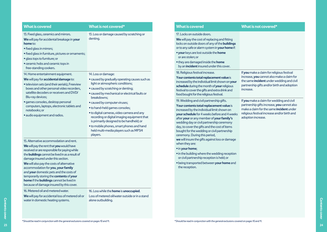| <b>What is covered</b>                                                                                                                                                                                                                                                                                                                                                                                                                                                                                | What is not covered*                                                                                                                                                                                                                                                                                                                                                                                                                                                                                                            |
|-------------------------------------------------------------------------------------------------------------------------------------------------------------------------------------------------------------------------------------------------------------------------------------------------------------------------------------------------------------------------------------------------------------------------------------------------------------------------------------------------------|---------------------------------------------------------------------------------------------------------------------------------------------------------------------------------------------------------------------------------------------------------------------------------------------------------------------------------------------------------------------------------------------------------------------------------------------------------------------------------------------------------------------------------|
| 13. Fixed glass, ceramics and mirrors.<br>We will pay for accidental breakage in your<br>home to:<br>• fixed glass in mirrors;<br>• fixed glass in furniture, pictures or ornaments;<br>· glass tops to furniture; or<br>• ceramic hobs and ceramic tops in<br>free-standing cookers.                                                                                                                                                                                                                 | 13. Loss or damage caused by scratching or<br>denting.                                                                                                                                                                                                                                                                                                                                                                                                                                                                          |
| 14. Home entertainment equipment.<br>We will pay for accidental damage to:<br>• television sets (and their aerials), Freeview<br>boxes and other personal video recorders,<br>satellite decoders or receivers and DVD/<br>Blu-ray devices;<br>· games consoles, desktop personal<br>computers, laptops, electronic tablets and<br>notebooks; or<br>· audio equipment and radios.                                                                                                                      | 14. Loss or damage:<br>· caused by gradually operating causes such as<br>light or atmospheric conditions;<br>• caused by scratching or denting;<br>· caused by mechanical or electrical faults or<br>breakdowns;<br>• caused by computer viruses;<br>· to hand-held games consoles;<br>· to digital cameras, video camera and any<br>recording or digital imaging equipment that<br>is primarily designed to be handheld; or<br>· to mobile phones, smart phones and hand<br>held multi-media players such as MP3/4<br>players. |
| 15. Alternative accommodation and rent.<br>We will pay the rent that you would have<br>received or are responsible for paying while<br>the <b>buildings</b> cannot be lived in as a result of<br>damage insured under this section.<br>We will also pay the costs of alternative<br>accommodation for you, your family<br>and your domestic pets and the costs of<br>temporarily storing the contents of your<br>home if the buildings cannot be lived in<br>because of damage insured by this cover. |                                                                                                                                                                                                                                                                                                                                                                                                                                                                                                                                 |
| 16. Metered oil and metered water.<br>We will pay for accidental loss of metered oil or<br>water in domestic heating systems.                                                                                                                                                                                                                                                                                                                                                                         | 16. Loss while the <b>home</b> is <b>unoccupied</b> .<br>Loss of metered oil/water outside or in a stand<br>alone outbuilding.                                                                                                                                                                                                                                                                                                                                                                                                  |

| <b>What is covered</b>                                                                                                                                                                                                                                                                                                                                                                                                                                                                                | What is not covered*                                                                                                                                                                                                                                                                                                       | <b>What is covered</b>                                                                                                                                                                                                                                                                                                                                                                                        | What is not covered*                                                                                                                                                                                       |
|-------------------------------------------------------------------------------------------------------------------------------------------------------------------------------------------------------------------------------------------------------------------------------------------------------------------------------------------------------------------------------------------------------------------------------------------------------------------------------------------------------|----------------------------------------------------------------------------------------------------------------------------------------------------------------------------------------------------------------------------------------------------------------------------------------------------------------------------|---------------------------------------------------------------------------------------------------------------------------------------------------------------------------------------------------------------------------------------------------------------------------------------------------------------------------------------------------------------------------------------------------------------|------------------------------------------------------------------------------------------------------------------------------------------------------------------------------------------------------------|
| 13. Fixed glass, ceramics and mirrors.<br>We will pay for accidental breakage in your<br><b>home</b> to:<br>· fixed glass in mirrors;<br>. fixed glass in furniture, pictures or ornaments;<br>· glass tops to furniture; or<br>· ceramic hobs and ceramic tops in<br>free-standing cookers.                                                                                                                                                                                                          | 13. Loss or damage caused by scratching or<br>denting.                                                                                                                                                                                                                                                                     | 17. Locks on outside doors.<br>We will pay the cost of replacing and fitting<br>locks on outside doors of any of the <b>buildings</b><br>or to any safe or alarm system in your home if:<br>. your keys are lost outside the home<br>or are stolen; or<br>. they are damaged inside the home<br>by an incident insured under this cover.                                                                      |                                                                                                                                                                                                            |
| 14. Home entertainment equipment.<br>We will pay for accidental damage to:<br>· television sets (and their aerials), Freeview<br>boxes and other personal video recorders,<br>satellite decoders or receivers and DVD/<br>Blu-ray devices;                                                                                                                                                                                                                                                            | 14. Loss or damage:<br>• caused by gradually operating causes such as<br>light or atmospheric conditions;<br>• caused by scratching or denting;<br>· caused by mechanical or electrical faults or                                                                                                                          | 18. Religious festival increase.<br>Your contents total replacement value is<br>increased by the individual limit shown on your<br>schedule during the month of your religious<br>festival to cover the gifts and extra drink and<br>food bought for the religious festival.                                                                                                                                  | If you make a claim for religious festival<br>increase, you cannot also make a claim for<br>the same incident under wedding and civil<br>partnership gifts and/or birth and adoption<br>increase.          |
| · games consoles, desktop personal<br>computers, laptops, electronic tablets and<br>notebooks; or<br>· audio equipment and radios.                                                                                                                                                                                                                                                                                                                                                                    | breakdowns;<br>• caused by computer viruses;<br>· to hand-held games consoles;<br>· to digital cameras, video camera and any<br>recording or digital imaging equipment that<br>is primarily designed to be handheld; or<br>· to mobile phones, smart phones and hand<br>held multi-media players such as MP3/4<br>players. | 19. Wedding and civil partnership gifts.<br>Your contents total replacement value is<br>increased by the individual limit shown on<br>your schedule for 4 weeks before and 4 weeks<br>after your or any member of your family's<br>wedding day or civil partnership ceremony<br>day, to cover the gifts and the cost of items<br>bought for the wedding or civil partnership<br>ceremony. During this period, | If you make a claim for wedding and civil<br>partnership gifts increase, you cannot also<br>make a claim for the same incident under<br>religious festival increase and/or birth and<br>adoption increase. |
| 15. Alternative accommodation and rent.<br>We will pay the rent that you would have<br>received or are responsible for paying while<br>the <b>buildings</b> cannot be lived in as a result of<br>damage insured under this section.<br>We will also pay the costs of alternative<br>accommodation for you, your family<br>and your domestic pets and the costs of<br>temporarily storing the contents of your<br>home if the buildings cannot be lived in<br>because of damage insured by this cover. |                                                                                                                                                                                                                                                                                                                            | we will insure the gifts against loss or damage<br>when they are:<br>• in your home;<br>• in the building where the wedding reception<br>or civil partnership reception is held; or<br>· being transported between your home and<br>the reception.                                                                                                                                                            |                                                                                                                                                                                                            |
| 16. Metered oil and metered water.<br>We will pay for accidental loss of metered oil or Loss of metered oil/water outside or in a stand<br>water in domestic heating systems.                                                                                                                                                                                                                                                                                                                         | 16. Loss while the <b>home</b> is <b>unoccupied</b> .<br>alone outbuilding.                                                                                                                                                                                                                                                |                                                                                                                                                                                                                                                                                                                                                                                                               |                                                                                                                                                                                                            |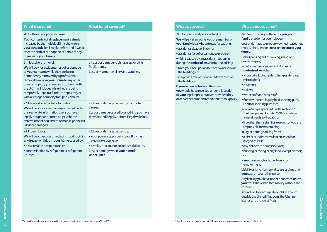#### **What is covered What is not covered\***

#### 20. Birth and adoption increase.

**Your contents total replacement value** is increased by the individual limit shown on **your schedule** for 4 weeks before and 4 weeks after the birth of or adoption of a child to any member of **your family**.

#### 21. Household removal.

**We** will pay for accidental loss of or damage to **your contents** while they are being permanently removed by a professional removal firm from **your home** to any other private property **you** are going to live in within the UK. This includes while they are being temporarily kept in a furniture depository or with a storage company for up to 72 hours.

22. Legally downloaded information. **We** will pay for loss or damage covered under this section to information that **you** have legally bought and stored on **your** home entertainment equipment or mobile phone if it is lost or damaged.

#### 23. Frozen foods

**We** will pay the costs of replacing food spoilt in any freezer or fridge in **your home** caused by:

- a rise or fall in temperature; or
- contamination by refrigerant or refrigerant fumes.

21. Loss or damage to china, glass or other fragile items.

Loss of **money**, jewellery and watches.

22. Loss or damage caused by computer viruses. Loss or damage caused by anything **you** have downloaded illegally or from illegal websites.

#### 23. Loss or damage caused by:

- **your** power supply being cut off by the electricity supplier; or
- a strike, a lockout or an industrial dispute.

Loss or damage when **your home** is **unoccupied**.

#### 24. Occupier's and personal liability.

**We** will pay all amounts **you** or a member of **your family** legally have to pay for causing:

**•** accidental death or injury; or

**•** accidental loss of or damage to property; which is caused by an accident happening

during the **period of insurance** and arising: **•** from **your** occupation (but not ownership) of

- the **buildings**; or
- in a private role not connected with owning the **buildings**.

If **you** die, **we** will extend the cover **you** would have received under this section to **your** legal representatives provided they observe the terms and conditions of this policy.

#### **What is covered What is not covered\***

24. Death or injury suffered by **you**, **your family** or a domestic employee.

Loss or damage to property owned, leased, let, rented, hired, lent or entrusted to **you** or **your family**.

Liability arising out of owning, using or possessing any:

- motorised vehicles, except **domestic motorised vehicles**;
- aircraft (including gliders, hang-gliders and microlights);
- caravans;
- trailers;
- water craft and hovercraft;
- firearms, except legally held sporting guns used for sporting purposes;
- dog of a type specified under section 1 of the Dangerous Dogs Act 1991 or any later amendments to that act; or
- lift (other than a stairlift) **you** own or **you** are responsible for maintaining.
- Injury or damage arising from:
- a direct or indirect result of an assault or alleged assault;
- any deliberate or malicious act;
- hunting or racing of any kind, except on foot; or
- **your** business, trade, profession or employment.

Liability arising from any disease or virus that **you** pass on to another person.

Any liability **you** have under a contract, unless **you** would have had that liability without the contract.

Examples and the Isle of Man.<br> **25** \*Should be read in conjunction with the general exclusions covered on pages 10 and 11.<br>
\*Should be read in conjunction with the general exclusions covered on pages 10 and 11.<br>
25 **Co** \*S Any action for damages brought in a court outside the United Kingdom, the Channel Islands and the Isle of Man.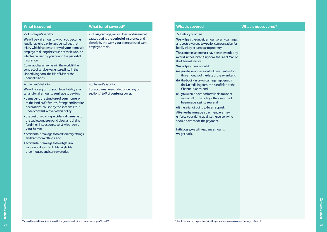#### **What is covered What is not covered\***

#### 25. Employer's liability.

**We** will pay all amounts which **you** become legally liable to pay for accidental death or injury which happens to any of **your** domestic employees during the course of their work or which is caused by **you** during the **period of insurance.**

Cover applies anywhere in the world if the contract of service was entered into in the United Kingdom, the Isle of Man or the Channel Islands.

#### 26. Tenant's liability.

**We** will cover **you** for **your** legal liability as a tenant for all amounts **you** have to pay for:

- damage to the structure of **your home**, or to the landlord's fixtures, fittings and interior decorations, caused by the sections 1 to 9 under **contents** cover of this policy;
- the cost of repairing **accidental damage** to the cables, underground pipes and drains (and their inspection covers) which serve **your home**;
- accidental breakage to fixed sanitary fittings and bathroom fittings; and
- accidental breakage to fixed glass in windows, doors, fanlights, skylights, greenhouses and conservatories.

25. Loss, damage, injury, illness or disease not caused during the **period of insurance** and directly by the work **your** domestic staff were employed to do.

#### 26. Tenant's liability.

Loss or damage excluded under any of sections 1 to 9 of **contents** cover.

#### **What is covered What is not covered\***

#### 27. Liability of others.

**We** will pay the unpaid amount of any damages and costs awarded to **you** for compensation for bodily injury or damage to property.

This compensation must have been awarded by a court in the United Kingdom, the Isle of Man or the Channel Islands.

**We** will pay the amount if:

- (a) **you** have not received full payment within three months of the date of the award; and
- (b) the bodily injury or damage happened in the United Kingdom, the Isle of Man or the Channel Islands; and
- (c) **you** would have had a valid claim under section 24 of this policy if the award had been made against **you**; and

(d) there is not going to be an appeal.

After **we** have made a payment, **we** may enforce **your** rights against the person who should have made the payment.

In this case, **we** will keep any amounts **we** get back.

27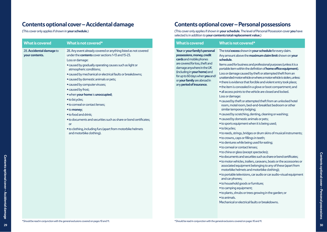### **Contents optional cover – Accidental damage**

(This cover only applies if shown in **your schedule**.)

| <b>What is covered</b>                     | What is not covered*                                                                                                        |
|--------------------------------------------|-----------------------------------------------------------------------------------------------------------------------------|
| 28. Accidental damage to<br>your contents. | 28. Any event already covered or anything listed as not covered<br>under the <b>contents</b> cover sections 1-13 and 15-23. |
|                                            | Loss or damage:                                                                                                             |
|                                            | · caused by gradually operating causes such as light or<br>atmospheric conditions;                                          |
|                                            | · caused by mechanical or electrical faults or breakdowns;                                                                  |
|                                            | • caused by domestic animals or pets;                                                                                       |
|                                            | • caused by computer viruses;                                                                                               |
|                                            | • caused by frost;                                                                                                          |
|                                            | . when your home is unoccupied;                                                                                             |
|                                            | · to bicycles;                                                                                                              |
|                                            | • to corneal or contact lenses;                                                                                             |
|                                            | • to money;                                                                                                                 |
|                                            | · to food and drink;                                                                                                        |
|                                            | • to documents and securities such as share or bond certificates;<br>or                                                     |
|                                            | . to clothing, including furs (apart from motorbike helmets<br>and motorbike clothing).                                     |
|                                            |                                                                                                                             |
|                                            |                                                                                                                             |
|                                            |                                                                                                                             |
|                                            |                                                                                                                             |
|                                            |                                                                                                                             |
|                                            |                                                                                                                             |
|                                            |                                                                                                                             |
|                                            |                                                                                                                             |
|                                            |                                                                                                                             |
|                                            |                                                                                                                             |
|                                            |                                                                                                                             |
|                                            |                                                                                                                             |

### **Contents optional cover – Personal possessions**

(This cover only applies if shown in **your schedule**. The level of Personal Possession cover **you** have selected is in addition to **your contents total replacement value**.)

#### **What is covered What is not covered\***

**Your** or **your family's personal possessions**, **money, credit cards** and mobile phones are covered for loss, theft and damage anywhere in the UK (including in **yourhome**) and for up to 60 days when **you** and/ or **yourfamily** are abroad in any **period of insurance**.

The total **excess** shown in **your schedule** for every claim. Any amount above the **maximum claim limit** shown on **your schedule**.

Items used for business and professional purposes (unless it is a portable item within the definition of **home office equipment**). Loss or damage caused by theft or attempted theft from an unattended motor vehicle or where a motor vehicle is stolen, unless:

- there is evidence that forcible and violent entry took place;
- the item is concealed in a glove or boot compartment; and
- all access points to the vehicle are closed and locked. Loss or damage:
- caused by theft or attempted theft from an unlocked hotel room, motel room, bed-and-breakfast bedroom or other similar temporary lodging;
- caused by scratching, denting, cleaning or washing;
- caused by domestic animals or pets;
- to sports equipment when it is being used;
- to bicycles;
- to reeds, strings, bridges or drum skins of musical instruments;
- to crowns, caps or fillings in teeth;
- to dentures while being used for eating;
- to corneal or contact lenses;
- to china or glass (except spectacles);
- to documents and securities such as share or bond certificates;
- to motor vehicles, trailers, caravans, boats or the accessories or associated equipment belonging to any of these (apart from motorbike helmets and motorbike clothing);
- to portable televisions, car audio or car audio-visual equipment and car phones;
- to household goods or furniture;
- to camping equipment;
- to plants, shrubs or trees growing in the garden; or
- to animals.
- Mechanical or electrical faults or breakdowns.

**Contents optional cover – Accidental damage**

Contents optional cover - Accidental damage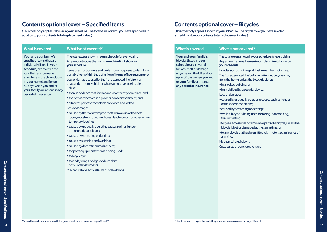### **Contents optional cover – Specified items**

(This cover only applies if shown in **your schedule**. The total value of items **you** have specified is in addition to **your contents total replacement value**.)

#### **What is covered What is not covered\***

**Your** and **your family's specified items** (that are individually listed in **your schedule**) are covered for loss, theft and damage anywhere in the UK (including in **your home**) and for up to 60 days when **you** and/or **your family** are abroad in any **period of insurance**.

The total **excess** shown in **your schedule** for every claim. Any amount above the **maximum claim limit** shown on **your schedule**.

Items used for business and professional purposes (unless it is a portable item within the definition of **home office equipment**). Loss or damage caused by theft or attempted theft from an unattended motor vehicle or where a motor vehicle is stolen, unless:

- there is evidence that forcible and violent entry took place; and
- the item is concealed in a glove or boot compartment; and **•** all access points to the vehicle are closed and locked. Loss or damage:
- caused by theft or attempted theft from an unlocked hotel room, motel room, bed-and-breakfast bedroom or other similar temporary lodging:
- caused by gradually operating causes such as light or atmospheric conditions;
- caused by scratching or denting;
- caused by cleaning and washing;
- caused by domestic animals or pets;
- to sports equipment when it is being used;
- to bicycles; or
- **31**<br> **31**<br> **31**<br> **31**<br> **31**<br> **31**<br> **31**<br> **31**<br> **31**<br> **31**<br> **31**<br> **31**<br> **31**<br> **31**<br> **31**<br> **31**<br> **31**<br> **32**<br> **32**<br> **32**<br> **32**<br> **32**<br> **32**<br> **32**<br> **32**<br> **32**<br> **32**<br> **32**<br> **32**<br> **32**<br> **32**<br> **32**<br> **32**<br> **32**<br> **32**<br> **32**<br> **32**<br> **•** to reeds, strings, bridges or drum skins of musical instruments.
	- Mechanical or electrical faults or breakdowns.

### **Contents optional cover – Bicycles**

(This cover only applies if shown in **your schedule**. The bicycle cover **you** have selected is in addition to **your contents total replacement value**.)

#### **What is covered What is not covered\***

**Your** and **your family's** bicycles (listed in **your schedule**) are covered for loss, theft or damage anywhere in the UK and for up to 60 days when **you** and/ or **your family** are abroad in any **period of insurance**.

The total **excess** shown in **your schedule** for every claim. Any amount above the **maximum claim limit** shown on **your schedule**.

Bicycles **you** do not keep at the **home** when not in use. Theft or attempted theft of an unattended bicycle away from the **home** unless the bicycle is either:

- in a locked building; or
- immobilised by a security device. Loss or damage:
- caused by gradually operating causes such as light or atmospheric conditions;
- caused by scratching or denting;
- while a bicycle is being used for racing, pacemaking, trials or testing;
- to tyres, accessories or removable parts of a bicycle, unless the bicycle is lost or damaged at the same time; or
- to any bicycle that has been fitted with motorised assistance of any kind.
- Mechanical breakdown.
- Cuts, bursts or punctures to tyres.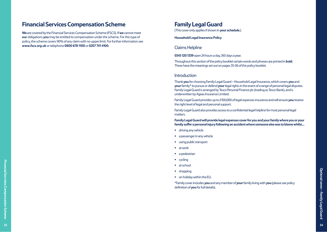### **Financial Services Compensation Scheme**

**We** are covered by the Financial Services Compensation Scheme (FSCS). If **we** cannot meet **our** obligations **you** may be entitled to compensation under the scheme. For this type of policy, the scheme covers 90% of any claim with no upper limit. For further information see **www.fscs.org.uk** or telephone **0800 678 1100** or **0207 741 4100**.

## **Family Legal Guard**

(This cover only applies if shown in **your schedule.**)

#### **Household Legal Insurance Policy**

#### Claims Helpline

#### **0345 120 1339** open 24 hours a day, 365 days a year.

Throughout this section of the policy booklet certain words and phrases are printed in **bold**. These have the meanings set out on pages 35-36 of this policy booklet.

#### **Introduction**

Thank **you** for choosing Family Legal Guard – Household Legal Insurance, which covers **you** and **your** family\* to pursue or defend **your** legal rights in the event of a range of personal legal disputes. Family Legal Guard is arranged by Tesco Personal Finance plc (trading as Tesco Bank), and is underwritten by Ageas Insurance Limited.

Family Legal Guard provides up to £100,000 of legal expenses insurance and will ensure **you** receive the right level of legal and personal support.

Family Legal Guard also provides access to a confidential legal helpline for most personal legal matters.

**Family Legal Guard will provide legal expenses cover for you and your family where you or your family suffer a personal injury following an accident where someone else was to blame whilst...**

- **•** driving any vehicle
- **•** a passenger in any vehicle
- **•** using public transport
- **•** at work
- **•** a pedestrian
- **•** cycling
- **•** at school
- shopping
- **•** on holiday within the EU.

**3**<br> **34**<br> **34**<br> **34**<br> **34**<br> **34**<br> **34**<br> **34**<br> **34**<br> **34**<br> **34**<br> **34**<br> **34**<br> **34**<br> **34**<br> **34**<br> **34**<br> **34**<br> **34**<br> **34**<br> **34**<br> **34**<br> **34**<br> **34**<br> **14**<br> **14**<br> **14**<br> **14**<br> **14**<br> **14**<br> **14**<br> **14**<br> **14**<br> **14**<br> **14**<br> **14**<br> **14**<br> \*Family cover includes **you** and any member of **your** family living with **you** (please see policy definition of **you** for full details).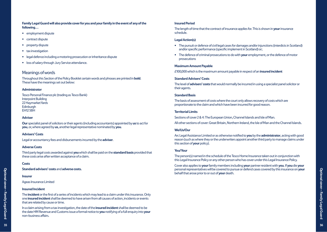**Family Legal Guard will also provide cover for you and your family in the event of any of the following…**

- employment dispute
- contract dispute
- property dispute
- tax investigation
- legal defence including a motoring prosecution or inheritance dispute
- loss of salary through Jury Service attendance.

#### Meanings of words

Throughout this Section of the Policy Booklet certain words and phrases are printed in **bold**. These have the meanings set out below:

#### **Administrator**

Tesco Personal Finance plc (trading as Tesco Bank) Interpoint Building 22 Haymarket Yards **Edinburgh** EH12 5BH

#### **Adviser**

**Our** specialist panel of solicitors or their agents (including accountants) appointed by **us** to act for **you**, or, where agreed by **us**, another legal representative nominated by **you**.

#### **Advisers' Costs**

Legal or accountancy fees and disbursements incurred by the **adviser**.

#### **Adverse Costs**

Third party legal costs awarded against **you** which shall be paid on the **standard basis** provided that these costs arise after written acceptance of a claim.

#### **Costs**

**Standard advisers' costs** and **adverse costs.**

#### **Insurer**

Ageas Insurance Limited

#### **Insured Incident**

Standard advisers' costs and adverse costs.<br> **35 35 35 35 36 Example in the cover of the control of the control of the cover of the cover of the cover of the cover of the cover of the cover of the cover of the co** The **incident** or the first of a series of incidents which may lead to a claim under this insurance. Only one **insured incident** shall be deemed to have arisen from all causes of action, incidents or events that are related by cause or time.

In a claim arising from a tax investigation, the date of the **insured incident** shall be deemed to be the date HM Revenue and Customs issue a formal notice to **you** notifying of a full enquiry into **your** non-business affairs.

#### **Insured Period**

The length of time that the contract of insurance applies for. This is shown in **your** insurance schedule.

#### **Legal Action(s)**

- The pursuit or defence of civil legal cases for damages and/or injunctions (interdicts in Scotland) and/or specific performance (specific implement in Scotland) or;
- The defence of criminal prosecutions to do with **your** employment, or the defence of motor prosecutions

#### **Maximum Amount Payable**

£100,000 which is the maximum amount payable in respect of an **insured incident**

#### **Standard Advisers' Costs**

The level of **advisers' costs** that would normally be incurred in using a specialist panel solicitor or their agents.

#### **Standard Basis**

The basis of assessment of costs where the court only allows recovery of costs which are proportionate to the claim and which have been incurred for good reason.

#### **Territorial Limits**

Sections of cover 2 & 4: The European Union, Channel Islands and Isle of Man.

All other sections of cover: Great Britain, Northern Ireland, the Isle of Man and the Channel Islands.

#### **We/Us/Our**

Arc Legal Assistance Limited or as otherwise notified to **you** by the **administrator**, acting with good reason (such as where they or the underwriters appoint another third party to manage claims under this section of **your** policy).

#### **You/Your**

The person(s) named in the schedule of the Tesco Home Insurance taken out in conjunction with this Legal Insurance Policy or any other person who has cover under this Legal Insurance Policy.

Cover also applies to **your** family members including **your** partner resident with **you**. If **you** die **your** personal representatives will be covered to pursue or defend cases covered by this insurance on **your** behalf that arose prior to or out of **your** death.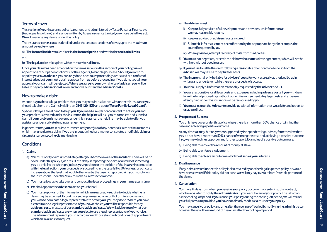#### Terms of cover

This section of **your** insurance policy is arranged and administered by Tesco Personal Finance plc (trading as Tesco Bank) and is underwritten by Ageas Insurance Limited, on whose behalf **we** act. **We** will manage any claims under this policy.

The insurance covers **costs** as detailed under the separate sections of cover, up to the **maximum amount payable** where:

a) The **insured incident** takes place in th**e insured period** and within the **territorial limits** and

b) The **legal action** takes place within the **territorial limits**.

Once **your** claim has been accepted on the terms set out in this section of **your** policy, **we** will appoint one of **our** panel of solicitors, or their agents, to handle **your** case. Should **you** wish to appoint **your** own **adviser**, **you** can only do so once court proceedings are issued or a conflict of interest arises but **you** must obtain approval from **us** before proceeding. If **you** do not obtain **our** approval **your** claim will be rejected. Where **we** agree to **your** own choice of **adviser**, **you** will be liable to pay any **advisers' costs** over and above **our** standard **advisers' costs**.

#### How to make a claim

As soon as **you** have a legal problem that **you** may require assistance with under this insurance **you** should telephone the Claims Helpline on **0345 120 1339** and quote '**Tesco Family Legal Guard'**.

Specialist lawyers are at hand to help **you**. If **you** need a lawyer or accountant to act for **you** and **your** problem is covered under this insurance, the helpline will ask **you** to complete and submit a claim. If **your** problem is not covered under this insurance, the helpline may be able to offer **you** assistance under a private funding arrangement.

In general terms, **you** are required to immediately notify **us** of any potential claim or circumstances which may give rise to a claim. If **you** are in doubt whether a matter constitutes a notifiable claim or circumstance, contact the Claims Helpline.

#### **Conditions**

#### **1. Claims**

- a) **You** must notify claims immediately after **you** become aware of the **incident**. There will be no cover under this policy if, as a result of a delay in reporting the claim or a result of something **you** do or fail to do which prejudices **your** position or the position of the **insurer** in connection with the **legal action**, **your** prospects of succeeding in the case fall to 50% or less, or **our** costs increase above the level that would otherwise be the case. To report a claim **you** must follow the instructions under the 'How to make a claim' section above.
- b) **You** must allow **us** to take over and conduct the legal proceedings in **your** name at any time.
- c) **We** shall appoint the **adviser** to act on **your** behalf.
- Family and the **Signal cover of the Signal Cover Cover Cover Cover Cover Cover Cover Cover Cover Cover Cover Cover Cover Cover Cover Cover Cover Cover Cover Cover Cover Cover Cover Cover Cover Cover Cover Cover Cover Cover** d) **You** must supply all of the information which **we** reasonably require to decide whether a claim may be accepted. If court proceedings are issued or a conflict of interest arises and **you** wish to nominate a legal representative to act for **you**, **you** may do so. Where **you** have elected to use a legal representative of **your** own choice **you** will be responsible for any **advisers' costs** in excess of **our standard advisers' costs**. **We** will advise **you** of what **our standard advisers' costs** are when **you** elect to use a legal representative of **your** choice. The **adviser** must represent **you** in accordance with **our** standard conditions of appointment which are available on request.
- e) The **Adviser** must
	- i) Keep **us** fully advised of all developments and provide such information as **we** may reasonably require.
	- ii) Keep **us** advised of **advisers' costs** incurred.
	- iii) Submit bills for assessment or certification by the appropriate body (for example, the court) if requested by **us**.
	- iv) Where possible, attempt recovery of costs from third parties.
- f) **You** must not negotiate, or settle the claim without **our** written agreement, which will not be withheld without good reason.
- g) If **you** refuse to settle the claim following a reasonable offer, or advice to do so from the **adviser**, **we** may refuse to pay further **costs**.
- h) The **insurer** shall only be liable for **advisers' costs** for work expressly authorised by **us** in writing and undertaken while there are prospects of success.
- i) **You** shall supply all information reasonably requested by the **adviser** and **us**.
- j) **You** are responsible for all legal costs and expenses including **adverse costs** if **you** withdraw from the legal proceedings without **our** written agreement. Any legal costs and expenses already paid under this insurance will be reimbursed by **you**.
- k) **You** must instruct the **Adviser** to provide **us** with all information that **we** ask for and report to **us** as **we** direct.

#### **2. Prospects of Success**

 **You** only have cover under this policy where there is a more than 50% chance of winning the case and achieving a positive outcome.

 At any time **we** may, but only when supported by independent legal advice, form the view that **you** do not have a more than 50% chance of winning the case and achieving a positive outcome. If so, **we** may decline support or any further support. Examples of a positive outcome are:

- a) Being able to recover the amount of money at stake
- b) Being able to enforce a judgement
- c) Being able to achieve an outcome which best serves **your** interests

#### **3. Dual insurance**

 If any claim covered under this policy is also covered by another legal expenses policy, or would have been covered if this policy did not exist, **we** will only pay **our** fair share (rateable portion) of the claim.

#### **4. Cancellation**

 **You** have 14 days from when **you** receive **your** policy documents or enter into this contract, whichever is later, to notify the **administrator** if **you** want to cancel **your** policy. This is known as the cooling-off period. If **you** cancel **your** policy during the cooling-off period, **we** will refund **your** full premium provided **you** have not already made a claim under **your** policy.

 **You** may cancel **your** policy any time after the cooling-off period by notifying the **administrator**, however there will be no refund of premium after the cooling-off period.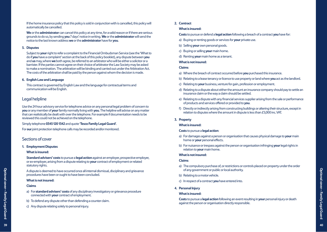If the home insurance policy that this policy is sold in conjunction with is cancelled, this policy will automatically be cancelled.

 **We** or the **administrator** can cancel this policy at any time, for a valid reason or if there are serious grounds to do so, by sending **you** 7 days' notice in writing. **We** or the **administrator** will send the notice to the last known address **we** or the **administrator** have for **you**.

#### **5. Disputes**

 Subject to **your** right to refer a complaint to the Financial Ombudsman Service (see the 'What to do if **you** have a complaint' section at the back of this policy booklet), any dispute between **you** and **us** may, where **we** both agree, be referred to an arbitrator who will be either a solicitor or a barrister. If the parties cannot agree on their choice of arbitrator the Law Society may be asked to make a nomination. The arbitration will be binding and carried out under the Arbitration Act. The costs of the arbitration shall be paid by the person against whom the decision is made.

#### **6. English Law and Language**

 This contract is governed by English Law and the language for contractual terms and communication will be English.

#### Legal helpline

Use the 24 hour advisory service for telephone advice on any personal legal problem of concern to **you** or any member of **your** family normally living with **you**. The helpline will advise on any matter that can realistically be dealt with over the telephone. For example if documentation needs to be reviewed this could not be achieved on the telephone.

Simply telephone **0345 120 1342** and quote '**Tesco Family Legal Guard**'.

For **our** joint protection telephone calls may be recorded and/or monitored.

#### Sections of cover

**1. Employment Disputes**

#### **What is insured:**

**Standard advisers' costs** to pursue a **legal action** against an employer, prospective employer, or ex-employer, arising from a dispute relating to **your** contract of employment or related statutory rights.

 A dispute is deemed to have occurred once all internal dismissal, disciplinary and grievance procedures have been or ought to have been concluded.

#### **What is not insured:**

#### **Claims**

- a) For **standard advisers' costs** of any disciplinary investigatory or grievance procedure connected with **your** contract of employment.
- b) To defend any dispute other than defending a counter claim.
- c) Any dispute relating solely to personal injury.

#### **2. Contract**

#### **What is insured:**

**Costs** to pursue or defend a **legal action** following a breach of a contract **you** have for:

- a) Buying or renting goods or services for **your** private use.
- b) Selling **your** own personal goods.
- c) Buying or selling **your** main home.
- d) Renting **your** main home as a tenant.

#### **What is not insured:**

#### **Claims**

- a) Where the breach of contract occurred before **you** purchased this insurance.
- b) Relating to a lease tenancy or licence to use property or land where **you** act as the landlord.
- c) Relating to **your** business, venture for gain, profession or employment.
- d) Relating to a dispute about either the amount an insurance company should pay to settle an insurance claim or the way a claim should be settled.
- e) Relating to a dispute with any financial services supplier arising from the sale or performance of products and services offered or provided to **you**.
- f) Directly or indirectly arising from constructing buildings or altering their structure, except in relation to disputes where the amount in dispute is less than £5,000 inc. VAT.
- **3. Property**

#### **What is insured:**

#### **Costs** to pursue a **legal action**:

- a) For damages against a person or organisation that causes physical damage to **your** main home or **your** personal effects.
- b) For nuisance or trespass against the person or organisation infringing **your** legal rights in relation to **your** main home.

#### **What is not insured:**

#### **Claims**

- a) The compulsory purchase of, or restrictions or controls placed on property under the order of any government or public or local authority.
- b) Relating to a motor vehicle.
- c) In respect of a contract **you** have entered into.
- **4. Personal Injury**

#### **What is insured:**

A dispute is deemed to have occurred once all internal dismissal, disciplinary and grievance<br>
and the cover of a cover of a cover of a cover of a cover of a cover of a cover of a cover of a cover distribution of the base  **Costs** to pursue a **legal action** following an event resulting in **your** personal injury or death against the person or organisation directly responsible.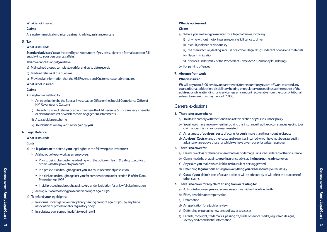#### **What is not insured:**

#### **Claims**

Arising from medical or clinical treatment, advice, assistance or care

#### **5. Tax**

#### **What is insured:**

**Standard advisers' costs** incurred by an Accountant if **you** are subject to a formal aspect or full enquiry into **your** personal tax affairs.

This cover applies only if **you** have:

- a) Maintained proper, complete, truthful and up to date records
- b) Made all returns at the due time
- c) Provided all information that the HM Revenue and Customs reasonably requires

#### **What is not insured:**

#### **Claims**

#### Arising from or relating to:

- i) An investigation by the Special Investigation Office or the Special Compliance Office of HM Revenue and Customs
- ii) The submission of returns or accounts where the HM Revenue & Customs levy a penalty or claim for interest or which contain negligent misstatements
- iii) A tax avoidance scheme
- iv) **Your** business or any venture for gain by **you**

#### **6. Legal Defence**

#### **What is insured:**

#### **Costs**

- a) in a **legal action** to defend **your** legal rights in the following circumstances:
	- i) Arising out of **your** work as an employee:
		- Prior to being charged when dealing with the police or Health & Safety Executive or others with the power to prosecute
		- In a prosecution brought against **you** in a court of criminal jurisdiction
		- In a civil action brought against **you** for compensation under section 13 of the Data Protection Act 1998
		- In civil proceedings brought against **you** under legislation for unlawful discrimination
	- ii) Arising out of a motoring prosecution brought against **you**
- b) To defend **your** legal rights:
	- i) In a formal investigation or disciplinary hearing brought against **you** by any trade association or professional or regulatory body
	- ii) In a dispute over something left to **you** in a will

#### **What is not insured:**

#### **Claims**

- a) Where **you** are being prosecuted for alleged offences involving:
	- i) driving without motor insurance, or a valid licence to drive
	- ii) assault, violence or dishonesty
	- iii) the manufacture, dealing in or use of alcohol, illegal drugs, indecent or obscene materials
	- iv) illegal immigration
	- v) offences under Part 7 of the Proceeds of Crime Act 2002 (money laundering)
- b) For parking offences
- **7. Absence from work**

#### **What is insured:**

 **We** will pay up to £100 per day, or part thereof, for the duration **you** are off work to attend any court, tribunal, arbitration, disciplinary hearing or regulatory proceedings at the request of the **adviser**, or while attending jury service, less any amount recoverable from the court or tribunal, subject to a maximum payment of £1,000.

### General exclusions

#### **1. There is no cover where:**

- a) **You** fail to comply with the Conditions of this section of **your** insurance policy
- b) **You** should have known when first buying this insurance that the circumstances leading to a claim under this insurance already existed
- c) An estimate of **advisers' costs** of acting for **you** is more than the amount in dispute
- d) **Advisers' Costs** or any other costs and expenses incurred which have not been agreed in advance or are above those for which **we** have given **our** prior written approval

#### **2. There is no cover for:**

- a) Claims over loss or damage where that loss or damage is insured under any other insurance
- b) Claims made by or against **your** insurance advisor, the **insurer**, the **adviser** or **us**
- c) Any claim **you** make which is false or fraudulent or exaggerated
- d) Defending **legal actions** arising from anything **you** did deliberately or recklessly
- e) **Costs** if **your** claim is part of a class action or will be affected by or will affect the outcome of other claims

#### **3. There is no cover for any claim arising from or relating to:**

- a) A dispute between **you** and someone **you** live with or have lived with
- b) Fines, penalties or compensation
- c) Defamation
- d) An application for a judicial review
- e) Defending or pursuing new areas of law or test cases
- f) Patents, copyright, trademarks, passing off, trade or service marks, registered designs, secrecy and confidential information

**Optional cover – Family Legal Guard**

Optional cover - Family Legal Guard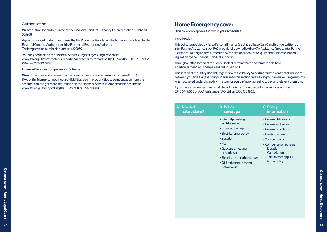#### Authorisation

**We** are authorised and regulated by the Financial Conduct Authority. **Our** registration number is 305958.

Ageas Insurance Limited is authorised by the Prudential Regulation Authority and regulated by the Financial Conduct Authority and the Prudential Regulation Authority. Their registration number is number is 202039.

**You** can check this on the Financial Services Register by visiting the website www.fca.org.uk/firms/systems-reporting/register or by contacting the FCA on 0800 111 6768 or the PRA on 0207 601 4878.

#### **Financial Services Compensation Scheme**

**We** and the **insurer** are covered by the Financial Services Compensation Scheme (FSCS). If **we** or the **insurer** cannot meet **our** liabilities, **you** may be entitled to compensation from the scheme. **You** can get more information on the Financial Services Compensation Scheme at www.fscs.org.uk or by calling 0800 678 1100 or 0207 741 4100.

### **Home Emergency cover**

(This cover only applies if shown in **your schedule**.)

#### **Introduction**

This policy is provided by Tesco Personal Finance (trading as Tesco Bank) and is underwritten by Inter Partner Assistance S.A. (**IPA**) which is fully owned by the AXA Assistance Group. Inter Partner Assistance is a Belgian firm authorised by the National Bank of Belgium and subject to limited regulation by the Financial Conduct Authority.

Throughout this section of the Policy Booklet certain words and terms in bold have a particular meaning. These are set out in Section C.

This section of the Policy Booklet, together with the **Policy Schedule** forms a contract of insurance between **you** and **IPA** (the policy). Please read this section carefully so **you** can make sure **you** know what is covered under this policy, in return for **you** paying or agreeing to pay any relevant premium.

If **you** have any queries, please call the **administrator** on the customer services number 0345 674 6666 or AXA Assistance (UK) Ltd on 0330 123 1963.

| A. How do l   | <b>B. Policy</b>                                                                                                                                                                                                                                | <b>C. Policy</b>                                                                                                                                                                                                            |
|---------------|-------------------------------------------------------------------------------------------------------------------------------------------------------------------------------------------------------------------------------------------------|-----------------------------------------------------------------------------------------------------------------------------------------------------------------------------------------------------------------------------|
| make a claim? | coverage                                                                                                                                                                                                                                        | <b>information</b>                                                                                                                                                                                                          |
|               | • Internal plumbing<br>and drainage<br>• External drainage<br>• Electrical emergency<br>• Security<br>$\bullet$ Pest<br>• Gas central heating<br>breakdown<br>• Electrical heating breakdown<br>• Oil fired central heating<br><b>Breakdown</b> | • General definitions<br>• General exclusions<br>• General conditions<br>• Creating access<br>$\bullet$ Your contracts<br>• Compensation scheme<br>-Duration<br>-Cancellation<br>$-$ The law that applies<br>to this policy |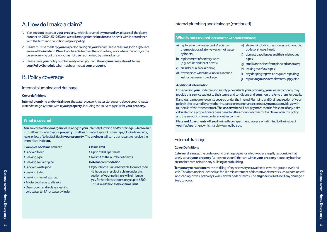## A. How do I make a claim?

- 1. If an **incident** occurs at **your property**, which is covered by **your policy**, please call the claims number on **0330 123 1963** and **we** will arrange for the **incident** to be dealt with in accordance with the terms and conditions of **your policy**.
- 2. Claims must be made by **you** or a person calling on **your** behalf. Please call **us** as soon as **you** are aware of the **incident**. **We** will not be able to cover the costs of any work where the work, or the person carrying out the work, has not been authorised by **us** in advance.
- 3. Please have **your** policy number ready when **you** call. The **engineer** may also ask to see **your Policy Schedule** when he/she arrives at **your property**.

## B. Policy coverage

### Internal plumbing and drainage

#### **Cover definitions**

**Internal plumbing and/or drainage**: the water pipework, water storage and above ground waste water drainage systems within **your property**, including the soil vent pipe(s) for **your property.**

#### **What is covered**

**You** are covered for **emergencies** relating to **your** internal plumbing and/or drainage, which result in total loss of water to **your property**, total loss of water to **your** kitchen taps, blocked drainage, leaks or loss of toilet facilities in **your property**. The **engineer** will carry out repairs to resolve the immediate **incident**.

#### **Examples of claims covered**

- Blocked toilet
- Leaking pipe
- Leaking soil vent pipe
- Blocked waste pipe
- Leaking toilet
- Leaking internal stop tap
- A total blockage to all sinks
- Drain down and isolate a leaking cold water tank/hot water cylinder

#### **Claims limit**

- Up to £1,000 per claim
- No limit to the number of claims
- **Hotel accommodation**
- If **your** home is uninhabitable for more than 48 hours as a result of a claim under this section of **your** policy, **we** will reimburse **you** for hotel costs (room only) up to £200. This is in addition to the **claims limit**.

### Internal plumbing and drainage (continued)

#### **What is not covered (see also the General Exclusions)**

- a) replacement of water tanks/radiators, thermostatic radiator valves or hot water cylinders;
- b) replacement of sanitary ware (e.g. basins and toilet bowls);
- c) an individual blocked sink;
- d) frozen pipes which have not resulted in a leak or permanent blockage;
- e) showers including the shower unit, controls, outlet or shower head;
- f) domestic appliances and their inlet/outlet pipes;
- g) smells and noises from pipework or drains;
- h) leaking overflow pipes;
- i) any dripping tap which requires repairing;
- j) repairs to **your** external water supply pipe

#### **Additional Information**

For repairs to **your** underground supply pipe outside **your property**, **your** water company may provide this service subject to their terms and conditions and **you** should refer to them for details.

If any loss, damage or expense covered under the Internal Plumbing and Drainage section of **your** policy is also covered by any other insurance or maintenance contract, **you** must provide **us** with full details of the other contract. The **underwriter** will not pay more than its fair share of any claim, calculated on a proportionate basis based on the amount of cover for the claim under this policy and the amount of cover under any other contract.

**Flats and Apartments** – If **you** live in a flat or apartment, cover is only limited to the inside of **your** flat/apartment which is solely owned by **you**.

### External drainage

#### **Cover Definitions**

**External drainage**: the underground drainage pipes for which **you** are legally responsible that solely serves **your property** (i.e. are not shared) that are within **your property** boundary but that are not beneath or inside any building or outbuilding.

**Temporary reinstatement**: the re-filling of any necessary excavation to leave the ground level and safe. This does not include the like-for-like reinstatement of decorative elements such as hard or soft landscaping, drives, pathways, walls, flower beds or lawns. The **engineer** will advise if any damage is likely to occur.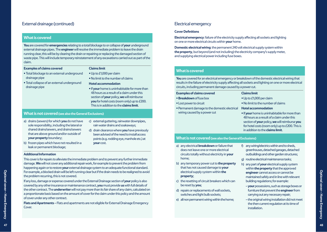### External drainage (continued)

#### **What is covered**

**You** are covered for **emergencies** relating to a total blockage to or collapse of **your** underground external drainage pipes. The **engineer** will resolve the immediate problem to leave the drain running clear, this will be by clearing the drain or repairing or replacing the damaged section of waste pipe. This will include temporary reinstatement of any excavations carried out as part of the claim.

#### **Examples of claims covered**

- Total blockage to an external underground
- drainage pipe • Total collapse of an external underground
- drainage pipe
- Up to £1,000 per claim

**Claims limit** 

- No limit to the number of claims
- **Hotel accommodation**
- If **your** home is uninhabitable for more than 48 hours as a result of a claim under this section of **your** policy, **we** will reimburse **you** for hotel costs (room only) up to £200. This is in addition to the **claims limit**.

#### **What is not covered (see also the General Exclusions)**

- a) drains (sewers) for which **you** do not have sole responsibility, including the lateral or shared drains/sewers, and drains/sewers that are above ground and/or outside of **your property** boundary;
- c) external guttering, rainwater downpipes, rain water drains and soakaways; d) drain clearance where **you** have previously
- been advised of the need to install access points (e.g. rodding eye, manhole etc.) at **your** cost.
- b) frozen pipes which have not resulted in a leak or permanent blockage;

#### **Additional Information**

This cover is for repairs to alleviate the immediate problem and to prevent any further immediate damage. **We** will not cover any additional repair work, for example to prevent the problem from happening again or to restore **your** external drainage system to an adequate functional standard. For example, a blocked drain will be left running clear but if the drain needs to be realigned to avoid the problem recurring, this is not covered.

If any loss, damage or expense covered under the External Drainage section of **your** policy is also covered by any other insurance or maintenance contract, **you** must provide **us** with full details of the other contract. The **underwriter** will not pay more than its fair share of any claim, calculated on a proportionate basis based on the amount of cover for the claim under this policy and the amount of cover under any other contract.

**Flats and Apartments** – Flats and apartments are not eligible for External Drainage Emergency Cover.

#### Electrical emergency

#### **Cover Definitions**

**Electrical emergency**: failure of the electricity supply affecting all sockets and lighting on one or more electrical circuits within **your** home.

**Domestic electrical wiring**: the permanent 240 volt electrical supply system within **the property**, but beyond (and not including) the electricity company's supply meter, and supplying electrical power including fuse boxes.

#### **What is covered**

**You** are covered for an electrical emergency or breakdown of the domestic electrical wiring that results in the failure of electricity supply affecting all sockets and lighting on one or more electrical circuits, including permanent damage caused by a power cut.

- **Examples of claims covered** • **Breakdown** of fuse box • Lost power to circuit • Permanent damage to the domestic electrical wiring caused by a power cut **Claims limit** 
	- Up to £1,000 per claim
	- No limit to the number of claims
	- **Hotel accommodation**
	- If **your** home is uninhabitable for more than 48 hours as a result of a claim under this section of **your** policy, **we** will reimburse **you** for hotel costs (room only) up to £200. This is in addition to the **claims limit**.

#### **What is not covered (see also the General Exclusions)**

- a) any electrical **breakdown** or failure that does not leave one or more electrical circuits totally without electricity in **your** home;
- b) any temporary power cut to **the property** that has not caused damage to **your** electrical supply system within **the property**;
- c) the resetting of circuit breakers which can be reset by **you**;
- d) repairs or replacements of wall sockets, switches and light bulb sockets;
- e) all non permanent wiring within the home;
- f) any wiring/electrics within and to sheds, greenhouses, detached garages, detached outbuildings and other garden structures;
- g) routine electrical maintenance tasks;
- h) any part of **your** electrical supply system within **the property** that the approved **engineer** cannot access or cannot be maintained safely and in line with relevant building regulations; for example:
	- **your** possessions, such as storage boxes or furniture that prevent the **engineer** from carrying out any necessary repair;
	- the original wiring installation did not meet the then current regulation at its time of installation.

**Optional cover – Home Emergency**

Optional cover-Home Emergency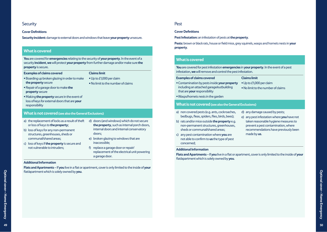#### **Security**

#### **Cover Definitions**

**Security incident:** damage to external doors and windows that leave **your property** unsecure.

#### **What is covered**

**You** are covered for **emergencies** relating to the security of **your property**. In the event of a security **incident**, **we** will protect **your property** from further damage and/or make sure **the property** is secure.

| <b>Examples of claims covered</b>             | <b>Claims limit</b>                |
|-----------------------------------------------|------------------------------------|
| • Boarding up broken glazing in order to make | • Up to $E1,000$ per claim         |
| the property secure                           | • No limit to the number of claims |
| • Repair of a garage door to make the         |                                    |
| property secure                               |                                    |

• Making **the property** secure in the event of loss of keys for external doors that are **your** responsibility

#### **What is not covered (see also the General Exclusions)**

- a) the replacement of locks as a result of theft or loss of keys to **the property**;
- b) loss of keys for any non-permanent structures, greenhouses, sheds or communal/shared areas;
- c) loss of keys if **the property** is secure and not vulnerable to intruders;
- d) doors (and windows) which do not secure **the property**, such as internal porch doors, internal doors and internal conservatory doors;
- e) broken glazing to windows that are inaccessible;
- f) replace a garage door or repair/ replacement of the electrical unit powering a garage door.

#### **Additional Information**

**Flats and Apartments** – If **you** live in a flat or apartment, cover is only limited to the inside of **your** flat/apartment which is solely owned by **you**.

#### Pest

#### **Cover Definitions**

#### **Pest Infestation:** an infestation of pests at **the property**.

**Pests:** brown or black rats, house or field mice, grey squirrels, wasps and hornets nests in **your property**.

#### **What is covered**

**You** are covered for pest infestation **emergencies** in **your property**. In the event of a pest infestation, **we** will remove and control the pest infestation.

#### **Examples of claims covered**

- Contamination by pests inside **your property** including an attached garage/outbuilding that are **your** responsibility
- **Claims limit**
- Up to £1,000 per claim
	- No limit to the number of claims
- Wasps/hornets nests in the garden

#### **What is not covered (see also the General Exclusions)**

- a) non covered pests (e.g. ants, cockroaches, bedbugs, fleas, spiders, flies, birds, bees);
- b) rats and/or mice outside **the property** e.g. non-permanent structures, greenhouses, sheds or communal/shared areas;
- c) any pest contamination where **you** are not able to confirm to **us** the type of pest concerned;
- d) any damage caused by pests;
- e) any pest infestation where **you** have not taken reasonable hygiene measures to prevent a pest contamination, where recommendations have previously been made by **us**.

#### **Additional Information**

**Flats and Apartments** – If **you** live in a flat or apartment, cover is only limited to the inside of **your** flat/apartment which is solely owned by **you**.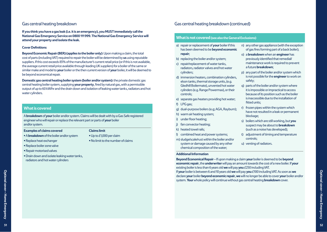#### Gas central heating breakdown

**If you think you have a gas leak (i.e. it is an emergency), you MUST immediately call the National Gas Emergency Service on 0800 111 999. The National Gas Emergency Service will attend your property and isolate the leak.** 

#### **Cover Definitions**

**Beyond Economic Repair (BER) (applies to the boiler only)**: Upon making a claim, the total cost of parts (including VAT) required to repair the boiler will be determined by **us** using reputable suppliers. If this cost exceeds 85% of the manufacturer's current retail price (or if this is not available, the average current retail price available through leading UK suppliers) for a boiler of the same or similar make and model to **your** boiler or the then current version of **your** boiler, it will be deemed to be beyond economical repair.

**Domestic gas central heating boiler system (boiler and/or system):** the private domestic gas central heating boiler system, supplying **your property**, fired by natural gas, with a permissible output of up to 60 kW/hr and the drain down and isolation of leaking water tanks, radiators and hot water cylinders.

#### **What is covered**

A **breakdown** of **your** boiler and/or system. Claims will be dealt with by a Gas Safe registered engineer who will repair or replace the relevant part or parts of **your** boiler and/or system.

#### **Examples of claims covered**

- A **breakdown** of the boiler and/or system
- Replace heat exchanger
- Replace boiler zone valve
- Repair motorised valves
- Drain down and isolate leaking water tanks, radiators and hot water cylinders

#### **Claims limit**

- Up to £1,000 per claim
- No limit to the number of claims

Gas central heating breakdown (continued)

#### **What is not covered (see also the General Exclusions)**

- a) repair or replacement of **your** boiler if this has been deemed to be **beyond economic repair**;
- b) replacing the boiler and/or system;
- c) repair/replacement of water tanks, radiators, radiator valves and hot water cylinders;
- d) immersion heaters, combination cylinders, elson tanks, thermal storage units, (e.g. Gledhill Boilermate), unvented hot water cylinders (e.g. Range Powermax), or their controls;
- e) separate gas heaters providing hot water;
- f) LPG gas;
- g) dual-purpose boilers (e.g; AGA, Rayburn);
- h) warm air heating system;
- i) under floor heating;
- j) fan convector heating;
- k) heated towel rails;
- l) combined heat and power systems;
- m) sludge/scale/rust within the boiler and/or system or damage caused by any other chemical composition of the water;

#### **Additional Information**

n) any other gas appliance (with the exception of gas fires forming part of a back boiler);

- o) a **breakdown** when an **engineer** has previously identified that remedial/ maintenance work is required to prevent a future **breakdown**;
- p) any part of the boiler and/or system which is not possible for the **engineer** to work on safely;
- q) parts of the boiler and/or system where it is impossible or impractical to access because of its position such as the boiler is inaccessible due to the installation of fitted units;
- r) frozen pipes within the system which have not resulted in a leak or permanent blockage;
- s) boilers which are still working, but **you** suspect may be about to **breakdown** (such as a noise has developed);
- t) adjustment of timing and temperature controls;
- u) venting of radiators.

**Beyond Economical Repair** – If upon making a claim **your** boiler is deemed to be **beyond economic repair**, the **underwriter** will pay an amount towards the cost of a new boiler. If **your**

If **your** boiler is between 6 and 10 years old **we** will pay **you** £100 including VAT. As soon as **we** declare **your** boiler **beyond economic repair**, **we** will no longer be able to cover **your** boiler and/or

system. **Your** whole policy will continue without gas central heating **breakdown** cover.

existing boiler is less than 6 years old **we** will pay **you** £250 including VAT.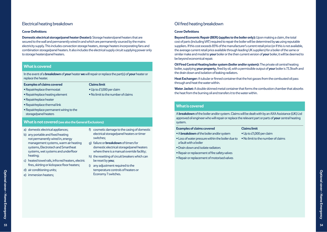#### Electrical heating breakdown

#### **Cover Definitions**

**Domestic electrical storage/panel heater (heater):** Storage heaters/panel heaters that are secured to the wall and permanently wired in and which are permanently sourced by the mains electricity supply. This includes convection storage heaters, storage heaters incorporating fans and combination storage/panel heaters. It also includes the electrical supply circuit supplying power only to storage heaters/panel heaters.

#### **What is covered**

In the event of a **breakdown** of **your** heater **we** will repair or replace the part(s) of **your** heater or replace the heater.

#### **Examples of claims covered**

#### **Claims limit**

• Up to £1,000 per claim

• No limit to the number of claims

- Repair/replace thermostat
- Repair/replace heating element
- Repair/replace heater
- Repair/replace thermal link
- Repair/replace permanent wiring to the storage/panel heaters

#### **What is not covered (see also the General Exclusions)**

- a) domestic electrical appliances;
- b) any portable and fixed heating not permanently wired in, energy management systems, warm air heating systems, Electrotech and Smartheat systems, wet systems and underfloor heating;
- c) heated towel rails, infra red heaters, electric fires, skirting or kickspace floor heaters;
- d) air conditioning units;
- e) immersion heaters;
- f) cosmetic damage to the casing of domestic electrical storage/panel heaters or timer switches;
- g) failure or **breakdown** of timers for domestic electrical storage/panel heaters where there is a manual override facility;
- h) the resetting of circuit breakers which can be reset by **you**;
- i) any adjustment required to the temperature controls of heaters or Economy 7 switches.

#### Oil fired heating breakdown

#### **Cover Definitions**

**Beyond Economic Repair (BER) (applies to the boiler only):** Upon making a claim, the total cost of parts (including VAT) required to repair the boiler will be determined by **us** using reputable suppliers. If this cost exceeds 85% of the manufacturer's current retail price (or if this is not available, the average current retail price available through leading UK suppliers) for a boiler of the same or similar make and model to **your** boiler or the then current version of **your** boiler, it will be deemed to be beyond economical repair.

**Oil Fired Central Heating boiler system (boiler and/or system):** The private oil central heating boiler, supplying **your property**, fired by oil, with a permissible output of **your** boiler is 73.3kw/h and the drain down and isolation of leaking radiators.

**Heat Exchanger:** A tubular or finned container that the hot gasses from the combusted oil pass through and heat the water within.

**Water Jacket:** A double skinned metal container that forms the combustion chamber that absorbs the heat from the burning oil and transfers it to the water within.

#### **What is covered**

A **breakdown** of the boiler and/or system. Claims will be dealt with by an AXA Assistance (UK) Ltd approved oil engineer who will repair or replace the relevant part or parts of **your** central heating system.

#### **Examples of claims covered** • A **breakdown** of the boiler and/or system

• Up to £1,000 per claim

**Claims limit** 

- Loss of water pressure within the boiler due to No limit to the number of claims a fault with a boiler
- Drain down and isolate radiators
- Repair or replacement of fire safety valves
- Repair or replacement of motorised valves

**Optional cover – Home Emergency**

Optional cover-Home Emergency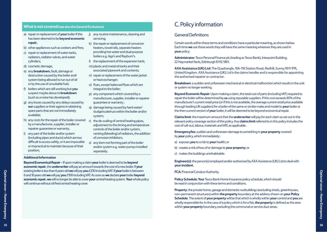#### **What is not covered (see also the General Exclusions)**

- a) repair or replacement of **your** boiler if this has been deemed to be **beyond economic repair**;
- b) other appliances such as cookers and fires;
- c) repair or replacement of water tanks, radiators, radiator valves, and water
- d) cosmetic damage;

cylinders;

- e) any **breakdown**, fault, damage or destruction caused by the boiler and/ system being allowed to run out of oil or by the use of unsuitable fuel;
- f) boilers which are still working but **you** suspect maybe about to **breakdown** (such as a noise has developed);
- g) any losses caused by any delays caused by **our** suppliers or their agents in obtaining spare parts that are not immediately available;
- h) any costs for the repair of the boiler covered by a manufacturer, supplier, installer or repairer guarantee or warranty;
- i) any part of the boiler and/or system (including pipes and ducts) which are too difficult to access safely, or it are impossible or impractical to maintain because of their position;
- j) any routine maintenance, cleaning and servicing;
- k) the repair or replacement of convector heaters, towel rails, separate heaters providing hot water and dual purpose boilers e.g. Aga's and Rayburn's.
- l) the replacement of the expansion tank;
- m) plastic and metal oil tanks and their associated pipework and contents;
- n) repair or replacement of the water jacket or heat exchanger;
- o) flues, except balanced flues which are integral to the boiler;
- p) any component which covered by a manufacturer, supplier, installer or repairer guarantee or warranty ;
- q) damage being caused by hard water/ sludge/scale/rust within the boiler and/or system;
- r) the de-scaling of central heating pipes, adjustment to the timing and temperature controls of the boiler and/or system, venting (bleeding) of radiators, the addition of corrosion inhibitors;
- s) any item not forming part of the boiler and/or system e.g. water pumps installed separately.

#### **Additional Information**

**Beyond Economical Repair** – If upon making a claim **your** boiler is deemed to be **beyond economic repair**, the **underwriter** will pay an amount towards the cost of a new boiler. If **your** existing boiler is less than 6 years old **we** will pay **you** £250 including VAT. If **your** boiler is between 6 and 10 years old **we** will pay **you** £100 including VAT. As soon as **we** declare **your** boiler **beyond economic repair**, **we** will no longer be able to cover **your** central heating system. **Your** whole policy will continue without oil fired central heating cover.

## C. Policy information

#### General Definitions

Certain words within these terms and conditions have a particular meaning, as shown below. Each time **we** use these words they will have the same meaning wherever they are used in **your** policy:

**Administrator:** Tesco Personal Finance plc (trading as Tesco Bank), Interpoint Building, 22 Haymarket Yards, Edinburgh EH12 5BH.

**AXA Assistance (UK) Ltd:** The Quadrangle, 106-118 Station Road, Redhill, Surrey RH1 1PR, United Kingdom. AXA Assistance (UK) Ltd is the claims handler and is responsible for appointing the authorised repairer or contractor.

**Breakdown**: a sudden and unforeseen mechanical or electrical malfunction which results in the unit or system no longer working.

**Beyond Economic Repair**: Upon making a claim, the total cost of parts (including VAT) required to repair the boiler will be determined by **us** using reputable suppliers. If this cost exceeds 85% of the manufacturer's current retail price (or if this is not available, the average current retail price available through leading UK suppliers) for a boiler of the same or similar make and model to **your** boiler or the then current version of **your** boiler, it will be deemed to be beyond economical repair.

**Claims limit**: the maximum amount that the **underwriter** will pay for each claim as set out in the relevant policy coverage section of this policy. Any **claims limit** referred to in this policy includes the cost of call-out, labour, materials and VAT, as applicable.

**Emergency/ies**: sudden and unforeseen damage to something in **your property** covered by **your** policy, which immediately:

- a) exposes **you** to a risk to **your** health; or
- b) creates a risk of loss of or damage to **your property**; or
- c) makes the buildings uninhabitable.

**Engineer(s)**: the person(s) employed and/or authorised by AXA Assistance (UK) Ltd to deal with **yourincident**.

**FCA:** Financial Conduct Authority.

**Policy Schedule: Your** Tesco Bank Home Insurance policy schedule, which should be read in conjunction with these terms and conditions.

**Property**: the private home, garage and domestic outbuildings (excluding sheds, greenhouses, non-permanent structures) within **the property** boundary at the address shown on **your Policy Schedule**. The extent of **your property** will be that which is wholly within **your** control and **you** are wholly responsible for. In the case of a policy which is for a flat, **the property** is defined as the area within **your property** boundary, excluding the communal or service duct areas.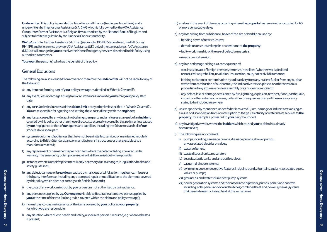**Underwriter**: This policy is provided by Tesco Personal Finance (trading as Tesco Bank) and is underwritten by Inter Partner Assistance S.A. (IPA) which is fully owned by the AXA Assistance Group. Inter Partner Assistance is a Belgian firm authorised by the National Bank of Belgium and subject to limited regulation by the Financial Conduct Authority**.**

**We/us/our**: Inter Partner Assistance SA, The Quadrangle, 106-118 Station Road, Redhill, Surrey RH1 1PR and/or its service provider AXA Assistance (UK) Ltd, of the same address. AXA Assistance (UK) Ltd will arrange for **you** to receive the Home Emergency services described in this Policy using authorised contractors.

**You/your**: the person(s) who has the benefit of this policy.

#### General Exclusions

The following are also excluded from cover and therefore the **underwriter** will not be liable for any of the following:

- a) any item not forming part of **your** policy coverage as detailed in 'What is Covered?';
- b) any event, loss or damage arising from circumstances known to **you** before **your** policy start date;
- c) any costs/activities in excess of the **claims limit** or any other limit specified in 'What is Covered?'. **You** are responsible for agreeing and settling these costs directly with the **engineer**;
- d) any losses caused by any delays in obtaining spare parts and any losses as a result of an **incident** covered by this policy other than those direct costs expressly covered by this policy, unless caused by **our** negligence or that of **our** agents and suppliers, including the failure to search all of **our** stockists for a spare part.
- e) systems/equipment/appliances that have not been installed, serviced or maintained regularly according to British Standards and/or manufacturer's instructions; or that are subject to a manufacturer's recall;
- f) any replacement or permanent repair of an item where the defect or failing is covered under warranty. The emergency or temporary repair will still be carried out where possible;
- g) instances where a repair/replacement is only necessary due to changes in legislation/health and safety guidelines;
- h) any defect, damage or **breakdown** caused by malicious or wilful action, negligence, misuse or third party interference, including any attempted repair or modification to the elements covered by this policy, which does not comply with British Standards;
- i) the costs of any work carried out by **you** or persons not authorised by **us** in advance;
- j) any parts not supplied by **us**. **Our engineer** is able to fit suitable alternative parts supplied by **you** at the time of the visit (so long as it is covered within the claim and policy coverage);
- k) normal day-to-day maintenance of the items covered by **your** policy at **your property**, for which **you** are responsible;
- l) any situation where due to health and safety, a specialist person is required, e.g. where asbestos is present;
- m) any loss in the event of damage occurring where **the property** has remained unoccupied for 60 or more consecutive days;
- n) any loss arising from subsidence, heave of the site or landslip caused by:
	- bedding down of new structures;
	- demolition or structural repairs or alterations to **the property**;
	- faulty workmanship or the use of defective materials;
	- river or coastal erosion;
- o) any loss or damage arising as a consequence of:
	- war, invasion, act of foreign enemies, terrorism, hostilities (whether war is declared or not), civil war, rebellion, revolution, insurrection, coup, riot or civil disturbance;
	- ionising radiation or contamination by radioactivity from any nuclear fuel or from any nuclear waste from combustion of nuclear fuel, the radioactive toxic explosive or other hazardous properties of any explosive nuclear assembly or its nuclear component;
	- any defect, loss or damage occasioned by fire, lightning, explosion, tempest, flood, earthquake, impact or other extraneous causes, unless the consequences of any of these are expressly stated to be included elsewhere;
- p) unless specifically mentioned under 'What is covered?', loss, damage or indirect costs arising as a result of disconnection from or interruption to the gas, electricity or water mains services to **the property**, for example a power cut to **your** neighbourhood;
- q) any investigative work, where the **incident** which caused **you** to claim has already been resolved;
- r) The following are not covered;
	- i) pumps including; sewerage pumps, drainage pumps, shower pumps, any associated electrics or valves,
	- ii) water softeners,
	- iii) waste disposal units, macerators
	- iv) cesspits, septic tanks and any outflow pipes;
	- v) vacuum drainage systems;
	- vi) swimming pools or decorative features including ponds, fountains and any associated pipes, valves or pumps;
	- vii) ground, air and water source heat pump systems
	- viii) power generation systems and their associated pipework, pumps, panels and controls including: solar panels and/or wind turbines; combined heat and power systems (systems that generate electricity and heat at the same time).

**Optional cover – Home Emergency**

Optional cover-Home Emergency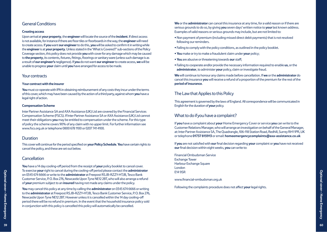### General Conditions

#### **Creating access**

Upon arrival at **your property**, the **engineer** will locate the source of the **incident**. If direct access is not available, for instance if there are floor tiles or floorboards in the way, the **engineer** will need to create access. If **you** want **our engineer** to do this, **you** will be asked to confirm it in writing while the **engineer** is at **your property**. Unless stated in the 'What is Covered?' sub-sections of the Policy Coverage section, this policy does not provide **you** with cover for any damage which may be caused to **the property**, its contents, fixtures, fittings, floorings or sanitary ware (unless such damage is as a result of **our engineer's** negligence). If **you** do not want **our engineer** to create access, **we** will be unable to progress **your** claim until **you** have arranged for access to be made.

#### Your contracts

#### **Your contract with the insurer**

**You** must co-operate with IPA in obtaining reimbursement of any costs they incur under the terms of this cover, which may have been caused by the action of a third party, against whom **you** have a legal right of action.

#### **Compensation Scheme**

Inter Partner Assistance SA and AXA Assistance (UK) Ltd are covered by the Financial Services Compensation Scheme (FSCS). If Inter Partner Assistance SA or AXA Assistance (UK) Ltd cannot meet their obligations **you** may be entitled to compensation under the scheme. For this type of policy the scheme covers 90% of any claim with no upper limit. For further information see www.fscs.org.uk or telephone 0800 678 1100 or 0207 741 4100.

#### **Duration**

This cover will continue for the period specified on **your Policy Schedule**. **You** have certain rights to cancel the policy, and these are set out below.

#### **Cancellation**

**You** have a 14 day cooling-off period from the receipt of **your** policy booklet to cancel cover. To exercise **your** right to cancel during the cooling-off period please contact the **administrator**  on 0345 674 6666 or write to the **administrator** at Freepost RSJB-RZZY-HTJB, Tesco Bank Customer Service, P. O. Box 276, Newcastle Upon Tyne NE12 2BT, who will also arrange a refund of **your** premium subject to an **insured** having not made any claims under the policy.

**You** may cancel this policy at any time by calling the **administrator** on 0345 674 6666 or writing to the **administrator** at Freepost RSJB-RZZY-HTJB, Tesco Bank Customer Service, P. O. Box 276, Newcastle Upon Tyne NE12 2BT. However unless it is cancelled within the 14 day cooling-off period there will be no refund in premium. In the event that the household insurance policy sold in conjunction with this policy is cancelled this policy will automatically be cancelled.

**We** or the **administrator** can cancel this insurance at any time, for a valid reason or if there are serious grounds to do so, by giving **you** seven days' written notice to **your** last known address. Examples of valid reasons or serious grounds may include, but are not limited to:

- Non payment of premium (including missed direct debit payments) that is not resolved following our reminders.
- Failing to comply with the policy conditions, as outlined in the policy booklet.
- **You** make or try to make a fraudulent claim under **your** policy;
- **You** are abusive or threatening towards **our** staff;
- Failing to cooperate and/or provide the necessary information required to enable **us**, or the **administrator**, to administer **your** policy, claim or investigate fraud.

**We** will continue to honour any claims made before cancellation. If **we** or the **administrator** do cancel this insurance **you** will receive a refund of a proportion of the premium for the rest of the **period of insurance**.

#### The Law that Applies to this Policy

This agreement is governed by the laws of England. All correspondence will be communicated in English for the duration of **your** policy.

#### What to do if you have a complaint?

If **you** have a complaint about **your** Home Emergency Cover or service **you** can write to the Customer Relations Manager, who will arrange an investigation on behalf of the General Manager, at: Inter Partner Assistance SA, The Quadrangle, 106-118 Station Road, Redhill, Surrey RH1 1PR, UK or telephone **01737 815913** or email: **homeemergencycomplaints@axa-assistance.co.uk**

If **you** are not satisfied with **our** final decision regarding **your** complaint or **you** have not received **our** final decision within eight weeks, **you** can write to:

Financial Ombudsman Service Exchange Tower Harbour Exchange Square London E14 9SR

www.financial-ombudsman.org.uk

Following the complaints procedure does not affect **your** legal rights.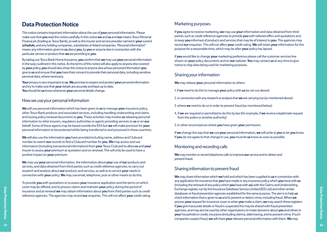### **Data Protection Notice**

This notice contains important information about the use of **your** personal information. Please make sure that **you** read this notice carefully. In this notice **we** and **us** and **our** means Tesco Personal Finance plc (trading as Tesco Bank), as well as the insurer and service provider named in **your** current **schedule**, and any holding companies, subsidiaries or linked companies. 'Personal information' means any information given to **us** about **you**, by **you** or anyone else in connection with the particular service or product that **we** are providing to **you**.

By taking out Tesco Bank Home Insurance, **you** confirm that **we** may use **your** personal information in the ways outlined in this notice. As the terms of this notice will also apply to anyone else covered by **your** policy, **you** should also show this notice to anyone else whose personal information **you**  give to **us** and ensure that **you** have their consent to provide their personal data, including sensitive personal data, where necessary.

**Your** privacy is very important to **us**. **We** promise to respect and protect **your** personal information and try to make sure that **your** details are accurate and kept up to date. You should let us know whenever your personal details change.

#### How we use your personal information

**We** will use personal information which has been given to **us** to manage **your** insurance policy, other Tesco Bank products and associated services, including handling underwriting and claims and issuing policy renewal documents to **you**. These activities may involve **us** releasing personal information to other insurers, regulatory authorities or agents providing services to **us** or on **our** behalf. Some of these agents may be based outside the EEA but **we** will make provision for **your** personal information to be protected whilst being transferred to and processed in these countries.

**We** will also use the information **you** have provided including name, address and Clubcard number to search **our** records to find a Clubcard number for **you**. **We** may access and use information (including transactional information) from **your** Tesco Clubcard to allow **us** and **your** insurer to assess **your** premium at quotation and on renewal. This will only be used to have a positive impact on **your** premium.

**We** may use **your** personal information, the information about **your** use of **our** products and services, and data obtained from third parties such as credit reference agencies, to carry out research and analysis about **our** products and services, as well as to service **your** needs in connection with **your** policy. **We** may use email, telephone, post or other means to do this.

To provide **you** with quotations or to assess **your** insurance application and the terms on which cover may be offered, and to process claims and maintain **your** policy during the period of insurance and at renewal **we** may obtain information about **you** from third parties such as credit reference agencies. The agencies may record **our** enquiries. This will not affect **your** credit rating.

#### Marketing purposes

If **you** agree to receive marketing, **we** may use **your** information and data obtained from third parties such as credit reference agencies to provide **you** with tailored offers and quotations and to keep **you** informed of products and services that may be of interest to **you**. The agencies may record **our** enquiries. This will not affect **your** credit rating. **We** will retain **your** information for this purpose for a reasonable time, which may be after **your** policy has lapsed.

If **you** would like to change **your** marketing preference please call the customer services line shown on **your** policy documents and on **our** website. **You** may contact **us** at any time to give notice to stop data being used for marketing purposes.

#### Sharing your information

**We** may release **your** personal information to others:

1. if **we** need to do this to manage **your** policy with **us** (as set out above)

- 2. in connection with any research or analysis that **we** are carrying out (as mentioned above)
- 3. where **we** need to do so in order to prevent fraud (as mentioned below)
- 4. if **we** are required or permitted to do this by law (for example, if **we** receive a legitimate request from the police or another authority)
- 5. in other circumstances where **you** have given **your** permission.

If **we** change the way that **we** use **your** personal information, **we** will write to **you** to let **you** know. If **you** do not agree to that change in use, **you** must let **us** know as soon as possible.

### Monitoring and recording calls

**We** may monitor or record telephone calls to improve **our** service and to detect and prevent fraud.

### Sharing information to prevent fraud

**We** may share information which **we** hold and which has been supplied to **us** in connection with any application for insurance that **you** have made or any insurance policy which **you** have with **us**  (including the renewal of any policy which **you** have with **us**) with the Claims and Underwriting Exchange register, run by the Insurance Database Service Limited (IDS Ltd) and other similar databases or fraud prevention agencies established for the same purpose. The aim is to help **us**  check information that is given to **us** and to prevent or detect crime, including fraud. When **we** process **your** request for insurance cover or when **you** make a claim, **we** may search these registers. If **you** give inaccurate details or fraud is suspected this may be shared with fraud prevention agencies, and may also be used by other organisations to make decisions about **you** and others in **your** household on credit, insurance (including claims), debt tracing, and to prevent crime. If such companies suspect fraud, **we** will share **your** relevant personal information with them. **We** may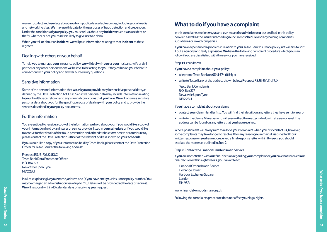research, collect and use data about **you** from publically available sources, including social media and networking sites. **We** may use this data for the purposes of fraud detection and prevention. Under the conditions of **your** policy, **you** must tell **us** about any **incident** (such as an accident or theft), whether or not **you** think it is likely to give rise to a claim.

When **you** tell **us** about an **incident**, **we** will pass information relating to that **incident** to these registers.

#### Dealing with others on your behalf

To help **you** to manage **your** insurance policy, **we** will deal with **you** or **your** husband, wife or civil partner or any other person whom **we** believe to be acting for **you** if they call **us** on **your** behalf in connection with **your** policy and answer **our** security questions.

#### Sensitive information

Some of the personal information that **we** ask **you** to provide may be sensitive personal data, as defined by the Data Protection Act 1998. Sensitive personal data may include information relating to **your** health, race, religion and any criminal convictions that **you** have. **We** will only **use** sensitive personal data about **you** for the specific purpose of dealing with **your** policy and to provide the services described in **your** policy documents.

#### Further information

**You** are entitled to receive a copy of the information **we** hold about **you**. If **you** would like a copy of **your** information held by an insurer or service provider listed in **your schedule** or if **you** would like to receive further details of the fraud prevention and other databases **we** access or contribute to**,**  please contact the Data Protection Officer at the relevant address shown on **your schedule.**

If **you** would like a copy of **your** information held by Tesco Bank, please contact the Data Protection Officer for Tesco Bank at the following address:

Freepost RSJB-RYLK-JKUX Tesco Bank Data Protection Officer **P.O. Box 277** Newcastle Upon Tyne NE12 2BU

**644**<br> **634**<br> **644 644 644 644 644 644 644 644 644 644 644 644 644 644 644 644 644 644 644 644 644 644 644 644 644 644 644 644 644 644 644 644 644 644 644** In all cases please give **your** name, address and (if **you** have one) **your** insurance policy number. **You**  may be charged an administration fee of up to £10. Details will be provided at the date of request. **We** will respond within 40 calendar days of receiving **your** request.

### **What to do if you have a complaint**

In this complaints section **we**, **us** and **our**, mean the **administrator** as specified in this policy booklet, as well as the insurers named in **your** current **schedule** and any holding companies, subsidiaries or linked companies.

If **you** have experienced a problem in relation to **your** Tesco Bank Insurance policy, **we** will aim to sort it out as quickly and fairly as possible. **We** have the following complaint procedure which **you** can follow if **you** are dissatisfied with the service **you** have received.

#### **Step 1: Let us know**

If **you** have a complaint about **your** policy:

- telephone Tesco Bank on **0345 674 6666**; or
- write to Tesco Bank at the address shown below: Freepost RSJB-RYLK-JKUX

Tesco Bank Complaints P. O. Box 277 Newcastle Upon Tyne NF<sub>12</sub> 2BU

If **you** have a complaint about **your** claim:

- contact **your** Claim Handler first. **You** will find their details on any letters they have sent to **you**; or
- write to the Claims Manager who will ensure that the matter is dealt with at a senior level. The address can be found on any letters that **you** have received.

Where possible **we** will always aim to resolve **your** complaint when **you** first contact **us**, however, some complaints may take longer to resolve. If for any reason **you** remain dissatisfied with **our**  written response or **you** have not received a final response letter within 8 weeks, **you** should escalate the matter as outlined in Step 2.

#### **Step 2: Contact the Financial Ombudsman Service**

If **you** are not satisfied with **our** final decision regarding **your** complaint or **you** have not received **our**  final decision within eight weeks, **you** can write to:

Financial Ombudsman Service Exchange Tower Harbour Exchange Square London E14 9SR

www.financial-ombudsman.org.uk

Following the complaints procedure does not affect **your** legal rights.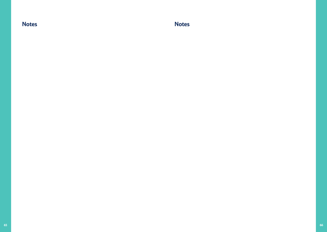**Notes Notes**